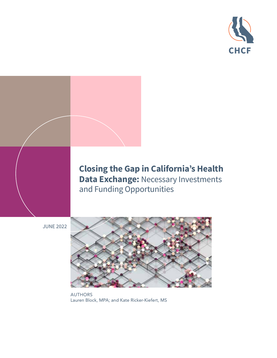

# **Closing the Gap in California's Health Data Exchange: Necessary Investments** and Funding Opportunities

JUNE 2022



AUTHORS Lauren Block, MPA; and Kate Ricker-Kiefert, MS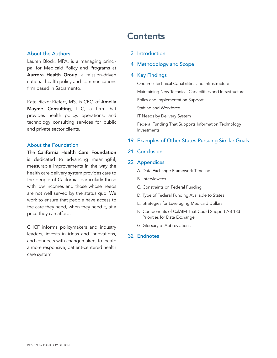### About the Authors

Lauren Block, MPA, is a managing principal for Medicaid Policy and Programs at [Aurrera Health Group](https://www.aurrerahealth.com/), a mission-driven national health policy and communications firm based in Sacramento.

Kate Ricker-Kiefert, MS, is CEO of [Amelia](http://www.ameliamayme.com) [Mayme Consulting](http://www.ameliamayme.com), LLC, a firm that provides health policy, operations, and technology consulting services for public and private sector clients.

# About the Foundation

The [California Health Care Foundation](http://www.chcf.org) is dedicated to advancing meaningful, measurable improvements in the way the health care delivery system provides care to the people of California, particularly those with low incomes and those whose needs are not well served by the status quo. We work to ensure that people have access to the care they need, when they need it, at a price they can afford.

CHCF informs policymakers and industry leaders, invests in ideas and innovations, and connects with changemakers to create a more responsive, patient-centered health care system.

# **Contents**

### 3 [Introduction](#page-2-0)

## 4 [Methodology and Scope](#page-3-0)

### 4 [Key Findings](#page-3-0)

[Onetime Technical Capabilities and Infrastructure](#page-4-0) [Maintaining New Technical Capabilities and Infrastructure](#page-6-0) [Policy and Implementation Support](#page-6-0) [Staffing and Workforce](#page-7-0) [IT Needs by Delivery System](#page-8-0) [Federal Funding That Supports Information Technology](#page-11-0)  [Investments](#page-11-0)

## 19 [Examples of Other States Pursuing Similar Goals](#page-18-0)

21 [Conclusion](#page-20-0)

### 22 [Appendices](#page-21-0)

- A. [Data Exchange Framework Timeline](#page-21-0)
- B. [Interviewees](#page-22-0)
- C. [Constraints on Federal Funding](#page-24-0)
- D. [Type of Federal Funding Available to States](#page-25-0)
- E. [Strategies for Leveraging Medicaid Dollars](#page-27-0)
- [F. Components of CalAIM That Could Support AB 133](#page-28-0)  [Priorities for Data Exchange](#page-28-0)
- G. [Glossary of Abbreviations](#page-30-0)

## 32 [Endnotes](#page-31-0)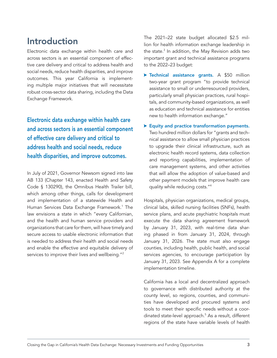# <span id="page-2-0"></span>Introduction

Electronic data exchange within health care and across sectors is an essential component of effective care delivery and critical to address health and social needs, reduce health disparities, and improve outcomes. This year California is implementing multiple major initiatives that will necessitate robust cross-sector data sharing, including the Data Exchange Framework.

Electronic data exchange within health care and across sectors is an essential component of effective care delivery and critical to address health and social needs, reduce health disparities, and improve outcomes.

In July of 2021, Governor Newsom signed into law AB 133 (Chapter 143, enacted Health and Safety Code § 130290), the Omnibus Health Trailer bill, which among other things, calls for development and implementation of a statewide Health and Human Services Data Exchange Framework.<sup>1</sup> The law envisions a state in which "every Californian, and the health and human service providers and organizations that care for them, will have timely and secure access to usable electronic information that is needed to address their health and social needs and enable the effective and equitable delivery of services to improve their lives and wellbeing."<sup>2</sup>

The 2021–22 state budget allocated \$2.5 million for health information exchange leadership in the state.<sup>3</sup> In addition, the May Revision adds two important grant and technical assistance programs to the 2022–23 budget:

- $\blacktriangleright$  Technical assistance grants. A \$50 million two-year grant program "to provide technical assistance to small or underresourced providers, particularly small physician practices, rural hospitals, and community-based organizations, as well as education and technical assistance for entities new to health information exchange."
- $\blacktriangleright$  Equity and practice transformation payments. Two hundred million dollars for "grants and technical assistance to allow small physician practices to upgrade their clinical infrastructure, such as electronic health record systems, data collection and reporting capabilities, implementation of care management systems, and other activities that will allow the adoption of value-based and other payment models that improve health care quality while reducing costs."4

Hospitals, physician organizations, medical groups, clinical labs, skilled nursing facilities (SNFs), health service plans, and acute psychiatric hospitals must execute the data sharing agreement framework by January 31, 2023, with real-time data sharing phased in from January 31, 2024, through January 31, 2026. The state must also engage counties, including health, public health, and social services agencies, to encourage participation by January 31, 2023. See Appendix A for a complete implementation timeline.

California has a local and decentralized approach to governance with distributed authority at the county level, so regions, counties, and communities have developed and procured systems and tools to meet their specific needs without a coordinated state-level approach.5 As a result, different regions of the state have variable levels of health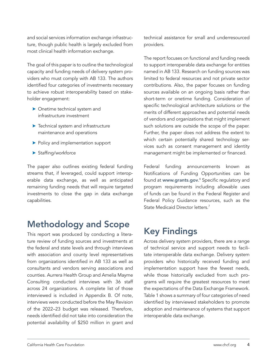<span id="page-3-0"></span>and social services information exchange infrastructure, though public health is largely excluded from most clinical health information exchange.

The goal of this paper is to outline the technological capacity and funding needs of delivery system providers who must comply with AB 133. The authors identified four categories of investments necessary to achieve robust interoperability based on stakeholder engagement:

- **>** Onetime technical system and infrastructure investment
- $\blacktriangleright$  Technical system and infrastructure maintenance and operations
- **>** Policy and implementation support
- $\blacktriangleright$  Staffing/workforce

The paper also outlines existing federal funding streams that, if leveraged, could support interoperable data exchange, as well as anticipated remaining funding needs that will require targeted investments to close the gap in data exchange capabilities.

# Methodology and Scope

This report was produced by conducting a literature review of funding sources and investments at the federal and state levels and through interviews with association and county level representatives from organizations identified in AB 133 as well as consultants and vendors serving associations and counties. Aurrera Health Group and Amelia Mayme Consulting conducted interviews with 36 staff across 24 organizations. A complete list of those interviewed is included in Appendix B. Of note, interviews were conducted before the May Revision of the 2022–23 budget was released. Therefore, needs identified did not take into consideration the potential availability of \$250 million in grant and

technical assistance for small and underresourced providers.

The report focuses on functional and funding needs to support interoperable data exchange for entities named in AB 133. Research on funding sources was limited to federal resources and not private sector contributions. Also, the paper focuses on funding sources available on an ongoing basis rather than short-term or onetime funding. Consideration of specific technological architecture solutions or the merits of different approaches and potential needs of vendors and organizations that might implement such solutions are outside the scope of the paper. Further, the paper does not address the extent to which certain potentially shared technology services such as consent management and identity management might be implemented or financed.

Federal funding announcements known as Notifications of Funding Opportunities can be found at **[www.grants.gov](http://www.grants.gov).**6 Specific regulatory and program requirements including allowable uses of funds can be found in the Federal Register and Federal Policy Guidance resources, such as the State Medicaid Director letters.<sup>7</sup>

# Key Findings

Across delivery system providers, there are a range of technical service and support needs to facilitate interoperable data exchange. Delivery system providers who historically received funding and implementation support have the fewest needs, while those historically excluded from such programs will require the greatest resources to meet the expectations of the Data Exchange Framework. Table 1 shows a summary of four categories of need identified by interviewed stakeholders to promote adoption and maintenance of systems that support interoperable data exchange.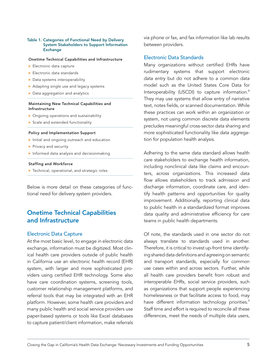#### <span id="page-4-0"></span>Table 1. Categories of Functional Need by Delivery System Stakeholders to Support Information **Exchange**

#### Onetime Technical Capabilities and Infrastructure

- $\blacktriangleright$  Electronic data capture
- $\blacktriangleright$  Electronic data standards
- $\blacktriangleright$  Data systems interoperability
- $\blacktriangleright$  Adapting single use and legacy systems
- Data aggregation and analytics

#### Maintaining New Technical Capabilities and Infrastructure

- $\triangleright$  Ongoing operations and sustainability
- $\triangleright$  Scale and extended functionality

### Policy and Implementation Support

- Initial and ongoing outreach and education
- $\blacktriangleright$  Privacy and security
- $\blacktriangleright$  Informed data analysis and decisionmaking

#### Staffing and Workforce

 $\blacktriangleright$  Technical, operational, and strategic roles

Below is more detail on these categories of functional need for delivery system providers.

# Onetime Technical Capabilities and Infrastructure

## Electronic Data Capture

At the most basic level, to engage in electronic data exchange, information must be digitized. Most clinical health care providers outside of public health in California use an electronic health record (EHR) system, with larger and more sophisticated providers using certified EHR technology. Some also have care coordination systems, screening tools, customer relationship management platforms, and referral tools that may be integrated with an EHR platform. However, some health care providers and many public health and social service providers use paper-based systems or tools like Excel databases to capture patient/client information, make referrals via phone or fax, and fax information like lab results between providers.

## Electronic Data Standards

Many organizations without certified EHRs have rudimentary systems that support electronic data entry but do not adhere to a common data model such as the United States Core Data for Interoperability (USCDI) to capture information.<sup>8</sup> They may use systems that allow entry of narrative text, notes fields, or scanned documentation. While these practices can work within an organization or system, not using common discrete data elements precludes meaningful cross-sector data sharing and more sophisticated functionality like data aggregation for population health analysis.

Adhering to the same data standard allows health care stakeholders to exchange health information, including nonclinical data like claims and encounters, across organizations. This increased data flow allows stakeholders to track admission and discharge information, coordinate care, and identify health patterns and opportunities for quality improvement. Additionally, reporting clinical data to public health in a standardized format improves data quality and administrative efficiency for care teams in public health departments.

Of note, the standards used in one sector do not always translate to standards used in another. Therefore, it is critical to invest up-front time identifying shared data definitions and agreeing on semantic and transport standards, especially for common use cases within and across sectors. Further, while all health care providers benefit from robust and interoperable EHRs, social service providers, such as organizations that support people experiencing homelessness or that facilitate access to food, may have different information technology priorities.<sup>9</sup> Staff time and effort is required to reconcile all these differences, meet the needs of multiple data users,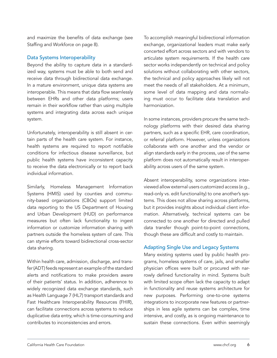and maximize the benefits of data exchange (see Staffing and Workforce on page 8).

# Data Systems Interoperability

Beyond the ability to capture data in a standardized way, systems must be able to both send and receive data through bidirectional data exchange. In a mature environment, unique data systems are interoperable. This means that data flow seamlessly between EHRs and other data platforms; users remain in their workflow rather than using multiple systems and integrating data across each unique system.

Unfortunately, interoperability is still absent in certain parts of the health care system. For instance, health systems are required to report notifiable conditions for infectious disease surveillance, but public health systems have inconsistent capacity to receive the data electronically or to report back individual information.

Similarly, Homeless Management Information Systems (HMIS) used by counties and community-based organizations (CBOs) support limited data reporting to the US Department of Housing and Urban Development (HUD) on performance measures but often lack functionality to ingest information or customize information sharing with partners outside the homeless system of care. This can stymie efforts toward bidirectional cross-sector data sharing.

Within health care, admission, discharge, and transfer (ADT) feeds represent an example of the standard alerts and notifications to make providers aware of their patients' status. In addition, adherence to widely recognized data exchange standards, such as Health Language 7 (HL7) transport standards and Fast Healthcare Interoperability Resources (FHIR), can facilitate connections across systems to reduce duplicative data entry, which is time-consuming and contributes to inconsistencies and errors.

To accomplish meaningful bidirectional information exchange, organizational leaders must make early concerted effort across sectors and with vendors to articulate system requirements. If the health care sector works independently on technical and policy solutions without collaborating with other sectors, the technical and policy approaches likely will not meet the needs of all stakeholders. At a minimum, some level of data mapping and data normalizing must occur to facilitate data translation and harmonization.

In some instances, providers procure the same technology platforms with their desired data sharing partners, such as a specific EHR, care coordination, or referral platform. However, unless organizations collaborate with one another and the vendor or align standards early in the process, use of the same platform does not automatically result in interoperability across users of the same system.

Absent interoperability, some organizations interviewed allow external users customized access (e.g., read-only vs. edit functionality) to one another's systems. This does not allow sharing across platforms, but it provides insights about individual client information. Alternatively, technical systems can be connected to one another for directed and pulled data transfer though point-to-point connections, though these are difficult and costly to maintain.

# Adapting Single Use and Legacy Systems

Many existing systems used by public health programs, homeless systems of care, jails, and smaller physician offices were built or procured with narrowly defined functionality in mind. Systems built with limited scope often lack the capacity to adapt in functionality and reuse systems architecture for new purposes. Performing one-to-one systems integrations to incorporate new features or partnerships in less agile systems can be complex, time intensive, and costly, as is ongoing maintenance to sustain these connections. Even within seemingly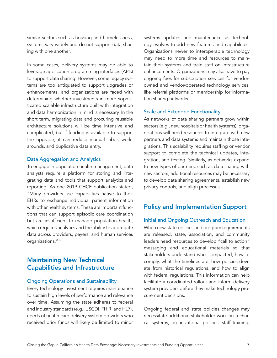<span id="page-6-0"></span>similar sectors such as housing and homelessness, systems vary widely and do not support data sharing with one another.

In some cases, delivery systems may be able to leverage application programming interfaces (APIs) to support data sharing. However, some legacy systems are too antiquated to support upgrades or enhancements, and organizations are faced with determining whether investments in more sophisticated scalable infrastructure built with integration and data harmonization in mind is necessary. In the short term, migrating data and procuring reusable architecture solutions will be time intensive and complicated, but if funding is available to support the upgrade, it can reduce manual labor, workarounds, and duplicative data entry.

## Data Aggregation and Analytics

To engage in population health management, data analysts require a platform for storing and integrating data and tools that support analytics and reporting. As one 2019 CHCF publication stated, "Many providers use capabilities native to their EHRs to exchange individual patient information with other health systems. These are important functions that can support episodic care coordination but are insufficient to manage population health, which requires analytics and the ability to aggregate data across providers, payers, and human services organizations."10

# Maintaining New Technical Capabilities and Infrastructure

## Ongoing Operations and Sustainability

Every technology investment requires maintenance to sustain high levels of performance and relevance over time. Assuming the state adheres to federal and industry standards (e.g., USCDI, FHIR, and HL7), needs of health care delivery system providers who received prior funds will likely be limited to minor systems updates and maintenance as technology evolves to add new features and capabilities. Organizations newer to interoperable technology may need to more time and resources to maintain their systems and train staff on infrastructure enhancements. Organizations may also have to pay ongoing fees for subscription services for vendorowned and vendor-operated technology services, like referral platforms or membership for information sharing networks.

# Scale and Extended Functionality

As networks of data sharing partners grow within sectors (e.g., new hospitals or health systems), organizations will need resources to integrate with new partners and data systems and maintain those integrations. This scalability requires staffing or vendor support to complete the technical updates, integration, and testing. Similarly, as networks expand to new types of partners, such as data sharing with new sectors, additional resources may be necessary to develop data sharing agreements, establish new privacy controls, and align processes.

# Policy and Implementation Support

# Initial and Ongoing Outreach and Education

When new state policies and program requirements are released, state, association, and community leaders need resources to develop "call to action" messaging and educational materials so that stakeholders understand who is impacted, how to comply, what the timelines are, how policies deviate from historical regulations, and how to align with federal regulations. This information can help facilitate a coordinated rollout and inform delivery system providers before they make technology procurement decisions.

Ongoing federal and state policies changes may necessitate additional stakeholder work on technical systems, organizational policies, staff training,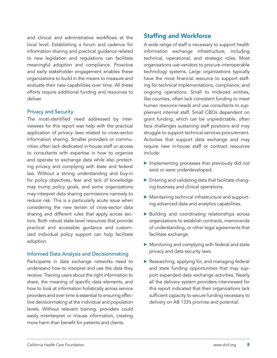<span id="page-7-0"></span>and clinical and administrative workflows at the local level. Establishing a forum and cadence for information sharing and practical guidance related to new legislation and regulations can facilitate meaningful adoption and compliance. Proactive and early stakeholder engagement enables these organizations to build in the means to measure and evaluate their new capabilities over time. All these efforts require additional funding and resources to deliver.

## Privacy and Security

The most-identified need addressed by interviewees for this report was help with the practical application of privacy laws related to cross-sector information sharing. Smaller providers or communities often lack dedicated in-house staff or access to consultants with expertise in how to organize and operate to exchange data while also protecting privacy and complying with state and federal law. Without a strong understanding and buy-in for policy objectives, fear and lack of knowledge may trump policy goals, and some organizations may interpret data sharing permissions narrowly to reduce risk. This is a particularly acute issue when considering the new terrain of cross-sector data sharing and different rules that apply across sectors. Both robust state-level resources that provide practical and accessible guidance and customized individual policy support can help facilitate adoption.

## Informed Data Analysis and Decisionmaking

Participants in data exchange networks need to understand how to interpret and use the data they receive. Training users about the right information to share, the meaning of specific data elements, and how to look at information holistically across service providers and over time is essential to ensuring effective decisionmaking at the individual and population levels. Without relevant training, providers could easily misinterpret or misuse information, creating more harm than benefit for patients and clients.

# Staffing and Workforce

A wide range of staff is necessary to support health information exchange infrastructure, including technical, operational, and strategic roles. Most organizations use vendors to procure interoperable technology systems. Large organizations typically have the most financial resource to support staffing for technical implementations, compliance, and ongoing operations. Small to midsized entities, like counties, often lack consistent funding to meet human resource needs and use consultants to supplement internal staff. Small CBOs dependent on grant funding, which can be unpredictable, often face challenges sustaining staff positions and may struggle to support technical services procurement. Activities that support data exchange and may require new in-house staff or contract resources include:

- $\blacktriangleright$  Implementing processes that previously did not exist or were underdeveloped.
- $\blacktriangleright$  Entering and validating data that facilitate changing business and clinical operations.
- $\blacktriangleright$  Maintaining technical infrastructure and supporting advanced data and analytics capabilities.
- $\blacktriangleright$  Building and coordinating relationships across organizations to establish contracts, memoranda of understanding, or other legal agreements that facilitate exchange.
- $\blacktriangleright$  Monitoring and complying with federal and state privacy and data security laws.
- $\blacktriangleright$  Researching, applying for, and managing federal and state funding opportunities that may support expanded data exchange activities. Nearly all the delivery system providers interviewed for this report indicated that their organizations lack sufficient capacity to secure funding necessary to delivery on AB 133's promise and potential.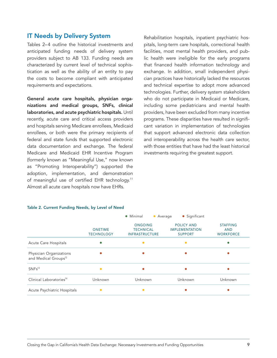# <span id="page-8-0"></span>IT Needs by Delivery System

Tables 2–4 outline the historical investments and anticipated funding needs of delivery system providers subject to AB 133. Funding needs are characterized by current level of technical sophistication as well as the ability of an entity to pay the costs to become compliant with anticipated requirements and expectations.

General acute care hospitals, physician organizations and medical groups, SNFs, clinical laboratories, and acute psychiatric hospitals. Until recently, acute care and critical access providers and hospitals serving Medicare enrollees, Medicaid enrollees, or both were the primary recipients of federal and state funds that supported electronic data documentation and exchange. The federal Medicare and Medicaid EHR Incentive Program (formerly known as "Meaningful Use," now known as "Promoting Interoperability") supported the adoption, implementation, and demonstration of meaningful use of certified EHR technology.<sup>11</sup> Almost all acute care hospitals now have EHRs.

# Rehabilitation hospitals, inpatient psychiatric hospitals, long-term care hospitals, correctional health facilities, most mental health providers, and public health were ineligible for the early programs that financed health information technology and exchange. In addition, small independent physician practices have historically lacked the resources and technical expertise to adopt more advanced technologies. Further, delivery system stakeholders who do not participate in Medicaid or Medicare, including some pediatricians and mental health providers, have been excluded from many incentive programs. These disparities have resulted in significant variation in implementation of technologies that support advanced electronic data collection and interoperability across the health care sector, with those entities that have had the least historical investments requiring the greatest support.

#### Table 2. Current Funding Needs, by Level of Need

|                                                             |                                     | • Minimal<br>• Average                                      | • Significant                                                |                                                   |
|-------------------------------------------------------------|-------------------------------------|-------------------------------------------------------------|--------------------------------------------------------------|---------------------------------------------------|
|                                                             | <b>ONETIME</b><br><b>TECHNOLOGY</b> | <b>ONGOING</b><br><b>TECHNICAL</b><br><b>INFRASTRUCTURE</b> | <b>POLICY AND</b><br><b>IMPLEMENTATION</b><br><b>SUPPORT</b> | <b>STAFFING</b><br><b>AND</b><br><b>WORKFORCE</b> |
| Acute Care Hospitals                                        |                                     |                                                             |                                                              | Ο                                                 |
| Physician Organizations<br>and Medical Groups <sup>12</sup> |                                     |                                                             |                                                              |                                                   |
| SNFs <sup>13</sup>                                          | $\bullet$                           |                                                             |                                                              |                                                   |
| Clinical Laboratories <sup>14</sup>                         | Unknown                             | Unknown                                                     | Unknown                                                      | Unknown                                           |
| Acute Psychiatric Hospitals                                 |                                     |                                                             |                                                              |                                                   |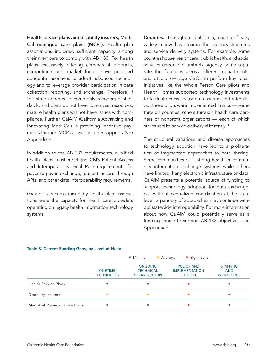Health service plans and disability insurers, Medi-Cal managed care plans (MCPs). Health plan associations indicated sufficient capacity among their members to comply with AB 133. For health plans exclusively offering commercial products, competition and market forces have provided adequate incentives to adopt advanced technology and to leverage provider participation in data collection, reporting, and exchange. Therefore, if the state adheres to commonly recognized standards, and plans do not have to reinvest resources, mature health plans will not have issues with compliance. Further, CalAIM (California Advancing and Innovating Medi-Cal) is providing incentive payments through MCPs as well as other supports. See Appendix F.

In addition to the AB 133 requirements, qualified health plans must meet the CMS Patient Access and Interoperability Final Rule requirements for payer-to-payer exchange, patient access through APIs, and other data interoperability requirements.

Greatest concerns raised by health plan associations were the capacity for health care providers operating on legacy health information technology systems.

Counties. Throughout California, counties<sup>15</sup> vary widely in how they organize their agency structures and service delivery systems. For example, some counties house health care, public health, and social services under one umbrella agency, some separate the functions across different departments, and others leverage CBOs to perform key roles. Initiatives like the Whole Person Care pilots and Health Homes supported technology investments to facilitate cross-sector data sharing and referrals, but these pilots were implemented in silos — some through counties, others through health care partners or nonprofit organizations — each of which structured its service delivery differently.<sup>16</sup>

The structural variations and diverse approaches to technology adoption have led to a proliferation of fragmented approaches to data sharing. Some communities built strong health or community information exchange systems while others have limited if any electronic infrastructure or data. CalAIM presents a potential source of funding to support technology adoption for data exchange, but without centralized coordination at the state level, a panoply of approaches may continue without statewide interoperability. For more information about how CalAIM could potentially serve as a funding source to support AB 133 objectives, see Appendix F.

#### Table 3. Current Funding Gaps, by Level of Need

|                             |                                     | $\sim$ $\frac{1}{2}$ $\frac{1}{2}$ $\frac{1}{2}$ $\frac{1}{2}$ $\frac{1}{2}$ $\frac{1}{2}$ $\frac{1}{2}$ $\frac{1}{2}$ $\frac{1}{2}$ $\frac{1}{2}$<br>$\sim$ Average | $\bullet$ <i>J</i> <sub>1</sub> $\uparrow$ IIIIILaIIIL       |                                                   |
|-----------------------------|-------------------------------------|----------------------------------------------------------------------------------------------------------------------------------------------------------------------|--------------------------------------------------------------|---------------------------------------------------|
|                             | <b>ONETIME</b><br><b>TECHNOLOGY</b> | ONGOING<br><b>TECHNICAL</b><br><b>INFRASTRUCTURE</b>                                                                                                                 | <b>POLICY AND</b><br><b>IMPLEMENTATION</b><br><b>SUPPORT</b> | <b>STAFFING</b><br><b>AND</b><br><b>WORKFORCE</b> |
| Health Service Plans        | $\bullet$                           | $\bullet$                                                                                                                                                            |                                                              |                                                   |
| Disability Insurers         | $\bullet$                           |                                                                                                                                                                      |                                                              | 0                                                 |
| Medi-Cal Managed Care Plans | $\bullet$                           | $\bullet$                                                                                                                                                            |                                                              |                                                   |

• Minimal • Average • Significant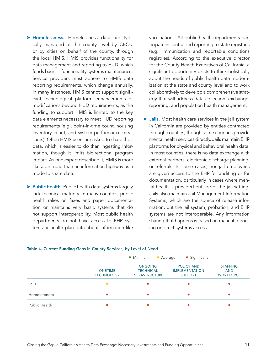- > Homelessness. Homelessness data are typically managed at the county level by CBOs, or by cities on behalf of the county, through the local HMIS. HMIS provides functionality for data management and reporting to HUD, which funds basic IT functionality systems maintenance. Service providers must adhere to HMIS data reporting requirements, which change annually. In many instances, HMIS cannot support significant technological platform enhancements or modifications beyond HUD requirements, as the funding to support HMIS is limited to the key data elements necessary to meet HUD reporting requirements (e.g., point-in-time count, housing inventory count, and system performance measures). Often HMIS users are asked to share their data, which is easier to do than ingesting information, though it limits bidirectional program impact. As one expert described it, HMIS is more like a dirt road than an information highway as a mode to share data.
- **> Public health.** Public health data systems largely lack technical maturity. In many counties, public health relies on faxes and paper documentation or maintains very basic systems that do not support interoperability. Most public health departments do not have access to EHR systems or health plan data about information like

vaccinations. All public health departments participate in centralized reporting to state registries (e.g., immunization and reportable conditions registries). According to the executive director for the County Health Executives of California, a significant opportunity exists to think holistically about the needs of public health data modernization at the state and county level and to work collaboratively to develop a comprehensive strategy that will address data collection, exchange, reporting, and population health management.

 $\triangleright$  Jails. Most health care services in the jail system in California are provided by entities contracted through counties, though some counties provide mental health services directly. Jails maintain EHR platforms for physical and behavioral health data. In most counties, there is no data exchange with external partners, electronic discharge planning, or referrals. In some cases, non-jail employees are given access to the EHR for auditing or for documentation, particularly in cases where mental health is provided outside of the jail setting. Jails also maintain Jail Management Information Systems, which are the source of release information, but the jail system, probation, and EHR systems are not interoperable. Any information sharing that happens is based on manual reporting or direct systems access.

|               |                                     | • Minimal<br>• Average                                      | • Significant                                         |                                                   |
|---------------|-------------------------------------|-------------------------------------------------------------|-------------------------------------------------------|---------------------------------------------------|
|               | <b>ONETIME</b><br><b>TECHNOLOGY</b> | <b>ONGOING</b><br><b>TECHNICAL</b><br><b>INFRASTRUCTURE</b> | POLICY AND<br><b>IMPLEMENTATION</b><br><b>SUPPORT</b> | <b>STAFFING</b><br><b>AND</b><br><b>WORKFORCE</b> |
| Jails         |                                     |                                                             |                                                       |                                                   |
| Homelessness  |                                     |                                                             |                                                       |                                                   |
| Public Health |                                     |                                                             |                                                       |                                                   |

#### Table 4. Current Funding Gaps in County Services, by Level of Need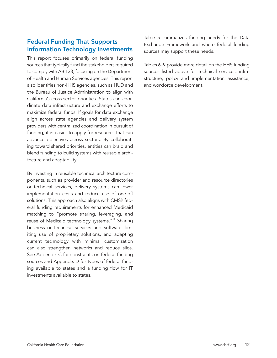# <span id="page-11-0"></span>Federal Funding That Supports Information Technology Investments

This report focuses primarily on federal funding sources that typically fund the stakeholders required to comply with AB 133, focusing on the Department of Health and Human Services agencies. This report also identifies non-HHS agencies, such as HUD and the Bureau of Justice Administration to align with California's cross-sector priorities. States can coordinate data infrastructure and exchange efforts to maximize federal funds. If goals for data exchange align across state agencies and delivery system providers with centralized coordination in pursuit of funding, it is easier to apply for resources that can advance objectives across sectors. By collaborating toward shared priorities, entities can braid and blend funding to build systems with reusable architecture and adaptability.

By investing in reusable technical architecture components, such as provider and resource directories or technical services, delivery systems can lower implementation costs and reduce use of one-off solutions. This approach also aligns with CMS's federal funding requirements for enhanced Medicaid matching to "promote sharing, leveraging, and reuse of Medicaid technology systems."17 Sharing business or technical services and software, limiting use of proprietary solutions, and adapting current technology with minimal customization can also strengthen networks and reduce silos. See Appendix C for constraints on federal funding sources and Appendix D for types of federal funding available to states and a funding flow for IT investments available to states.

Table 5 summarizes funding needs for the Data Exchange Framework and where federal funding sources may support these needs.

Tables 6–9 provide more detail on the HHS funding sources listed above for technical services, infrastructure, policy and implementation assistance, and workforce development.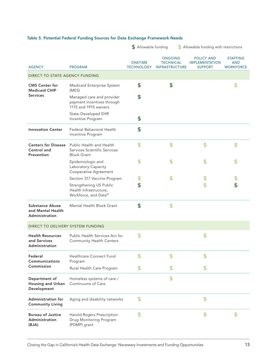|  |  |  |  | Table 5. Potential Federal Funding Sources for Data Exchange Framework Needs |
|--|--|--|--|------------------------------------------------------------------------------|
|--|--|--|--|------------------------------------------------------------------------------|

|                                                               |                                                                                        | <b>5</b> Allowable funding          |                                                             | <b>S</b> Allowable funding with restrictions                 |                                                   |
|---------------------------------------------------------------|----------------------------------------------------------------------------------------|-------------------------------------|-------------------------------------------------------------|--------------------------------------------------------------|---------------------------------------------------|
| <b>AGENCY</b>                                                 | <b>PROGRAM</b>                                                                         | <b>ONETIME</b><br><b>TECHNOLOGY</b> | <b>ONGOING</b><br><b>TECHNICAL</b><br><b>INFRASTRUCTURE</b> | <b>POLICY AND</b><br><b>IMPLEMENTATION</b><br><b>SUPPORT</b> | <b>STAFFING</b><br><b>AND</b><br><b>WORKFORCE</b> |
| DIRECT TO STATE AGENCY FUNDING                                |                                                                                        |                                     |                                                             |                                                              |                                                   |
| <b>CMS Center for</b><br><b>Medicaid CHIP</b>                 | Medicaid Enterprise System<br>(MES)                                                    | \$                                  | \$                                                          |                                                              | \$                                                |
| <b>Services</b>                                               | Managed care and provider<br>payment incentives through<br>1115 and 1915 waivers       | \$                                  |                                                             |                                                              |                                                   |
|                                                               | State-Developed EHR<br>Incentive Program                                               | \$                                  |                                                             |                                                              |                                                   |
| <b>Innovation Center</b>                                      | Federal Behavioral Health<br>Incentive Program                                         | \$                                  |                                                             |                                                              |                                                   |
| <b>Centers for Disease</b><br>Control and<br>Prevention       | Public Health and Health<br>Services Scientific Services<br><b>Block Grant</b>         | \$                                  | \$                                                          | \$                                                           | \$                                                |
|                                                               | Epidemiologic and<br>Laboratory Capacity<br>Cooperative Agreement                      |                                     | S                                                           |                                                              | S                                                 |
|                                                               | Section 317 Vaccine Program                                                            | \$                                  | S                                                           | \$                                                           | \$                                                |
|                                                               | Strengthening US Public<br>Health Infrastructure,<br>Workforce, and Data <sup>18</sup> | \$                                  |                                                             | \$                                                           | \$                                                |
| <b>Substance Abuse</b><br>and Mental Health<br>Administration | Mental Health Block Grant                                                              | \$                                  | \$                                                          |                                                              |                                                   |
| DIRECT TO DELIVERY SYSTEM FUNDING                             |                                                                                        |                                     |                                                             |                                                              |                                                   |
| <b>Health Resources</b><br>and Services<br>Administration     | Public Health Services Act for<br><b>Community Health Centers</b>                      | \$                                  |                                                             | \$                                                           |                                                   |
| Federal<br>Communications                                     | <b>Healthcare Connect Fund</b><br>Program                                              | S                                   | S                                                           | S                                                            |                                                   |
| Commission                                                    | Rural Health Care Program                                                              | S                                   | S                                                           |                                                              |                                                   |
| Department of<br>Housing and Urban<br>Development             | Homeless systems of care /<br>Continuums of Care                                       |                                     | \$                                                          |                                                              |                                                   |
| <b>Administration for</b><br><b>Community Living</b>          | Aging and disability networks                                                          | \$                                  |                                                             | \$                                                           |                                                   |
| <b>Bureau of Justice</b><br>Administration<br>(BJA)           | Harold Rogers Prescription<br>Drug Monitoring Program<br>(PDMP) grant                  | \$                                  |                                                             | \$                                                           | S                                                 |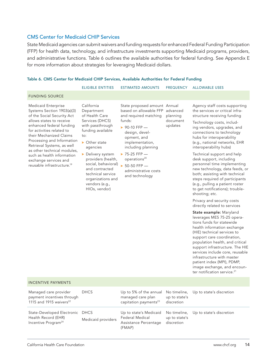## CMS Center for Medicaid CHIP Services

State Medicaid agencies can submit waivers and funding requests for enhanced Federal Funding Participation (FFP) for health data, technology, and infrastructure investments supporting Medicaid programs, providers, and administrative functions. Table 6 outlines the available authorities for federal funding. See Appendix E for more information about strategies for leveraging Medicaid dollars.

#### Table 6. CMS Center for Medicaid CHIP Services, Available Authorities for Federal Funding

| FREQUENCY ALLOWABLE USES<br><b>ESTIMATED AMOUNTS</b><br>ELIGIBLE ENTITIES |
|---------------------------------------------------------------------------|
|                                                                           |

Medicaid Enterprise Systems Section 1903(a)(3) of the Social Security Act allows states to receive enhanced federal funding for activities related to their Mechanized Claims Processing and Information Retrieval Systems, as well as other technical modules, such as health information exchange services and reusable infrastructure.19

California Department of Health Care Services (DHCS) with passthrough funding available

 $\triangleright$  Other state agencies

to:

 $\blacktriangleright$  Delivery system providers (health, social, behavioral)  $\rightarrow$  50-50 FFP and contracted technical service organizations and vendors (e.g.,

HIOs, vendor)

State proposed amount Annual based on allowable FFP advanced and required matching funds: planning document

updates

- $\triangleright$  90-10 FFP design, development, and implementation, including planning
- $\triangleright$  75-25 FFP operations<sup>20</sup>
	- administrative costs and technology

Agency staff costs supporting the services or critical infrastructure receiving funding

Technology costs, including vendors, upgrades, and connections to technology hubs for interoperability (e.g., national networks, EHR interoperability hubs)

Technical support and help desk support, including personnel time implementing new technology, data feeds, or both; assisting with technical steps required of participants (e.g., pulling a patient roster to get notifications); troubleshooting; etc.

Privacy and security costs directly related to services

State example: Maryland leverages MES 75-25 operations funds for statewide health information exchange (HIE) technical services to support care coordination, population health, and critical support infrastructure. The HIE services include core, reusable infrastructure with master patient index (MPI), PDMP, image exchange, and encounter notification service.<sup>21</sup>

| <b>INCENTIVE PAYMENTS</b> |  |
|---------------------------|--|
|                           |  |

| Managed care provider<br>payment incentives through<br>1115 and 1915 waivers <sup>22</sup> | <b>DHCS</b>        | Up to 5% of the annual<br>managed care plan<br>capitation payments <sup>23</sup>                                          | up to state's<br>discretion | No timeline, Up to state's discretion |
|--------------------------------------------------------------------------------------------|--------------------|---------------------------------------------------------------------------------------------------------------------------|-----------------------------|---------------------------------------|
| State-Developed Electronic DHCS<br>Health Record (EHR)<br>Incentive Program <sup>24</sup>  | Medicaid providers | Up to state's Medicaid No timeline, Up to state's discretion<br><b>Federal Medical</b><br>Assistance Percentage<br>(FMAP) | up to state's<br>discretion |                                       |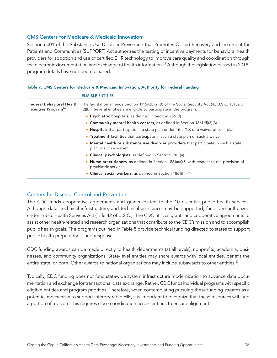# CMS Centers for Medicare & Medicaid Innovation

Section 6001 of the Substance Use Disorder Prevention that Promotes Opioid Recovery and Treatment for Patients and Communities (SUPPORT) Act authorizes the testing of incentive payments for behavioral health providers for adoption and use of certified EHR technology to improve care quality and coordination through the electronic documentation and exchange of health information.<sup>25</sup> Although the legislation passed in 2018, program details have not been released.

#### Table 7. CMS Centers for Medicare & Medicaid Innovation, Authority for Federal Funding

|                                                                     | <b>ELIGIBLE ENTITIES</b>                                                                                                                                              |
|---------------------------------------------------------------------|-----------------------------------------------------------------------------------------------------------------------------------------------------------------------|
| <b>Federal Behavioral Health</b><br>Incentive Program <sup>26</sup> | The legislation amends Section 1115A(b)(2)(B) of the Social Security Act (42 U.S.C. 1315a[b]<br>[2][B]). Several entities are eligible to participate in the program: |
|                                                                     | $\triangleright$ Psychiatric hospitals, as defined in Section 1861(f)                                                                                                 |
|                                                                     | Community mental health centers, as defined in Section 1861(ff)(3)(B)                                                                                                 |
|                                                                     | ▶ Hospitals that participate in a state plan under Title XIX or a waiver of such plan                                                                                 |
|                                                                     | ▶ Treatment facilities that participate in such a state plan or such a waiver                                                                                         |
|                                                                     | Mental health or substance use disorder providers that participate in such a state<br>plan or such a waiver                                                           |
|                                                                     | • Clinical psychologists, as defined in Section 1861(ii)                                                                                                              |
|                                                                     | ightharpoonup Nurse practitioners, as defined in Section 1861(aa)(5) with respect to the provision of<br>psychiatric services                                         |
|                                                                     | $\triangleright$ Clinical social workers, as defined in Section 1861(hh)(1)                                                                                           |

# Centers for Disease Control and Prevention

The CDC funds cooperative agreements and grants related to the 10 essential public health services. Although data, technical infrastructure, and technical assistance may be supported, funds are authorized under Public Health Services Act (Title 42 of U.S.C.). The CDC utilizes grants and cooperative agreements to assist other health-related and research organizations that contribute to the CDC's mission and to accomplish public health goals. The programs outlined in Table 8 provide technical funding directed to states to support public health preparedness and response.

CDC funding awards can be made directly to health departments (at all levels), nonprofits, academia, businesses, and community organizations. State-level entities may share awards with local entities, benefit the entire state, or both. Other awards to national organizations may include subawards to other entities.<sup>27</sup>

Typically, CDC funding does not fund statewide system infrastructure modernization to advance data documentation and exchange for transactional data exchange. Rather, CDC funds individual programs with specific eligible entities and program priorities. Therefore, when contemplating pursuing these funding streams as a potential mechanism to support interoperable HIE, it is important to recognize that these resources will fund a portion of a vision. This requires close coordination across entities to ensure alignment.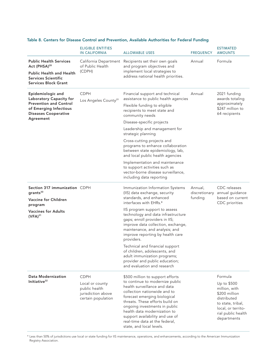|                                                                                                                                                           | <b>ELIGIBLE ENTITIES</b><br>IN CALIFORNIA                                                   | <b>ALLOWABLE USES</b>                                                                                                                                                                                                                                                                                                                                                                                                                                                                                                          | <b>FREQUENCY</b>                    | <b>ESTIMATED</b><br><b>AMOUNTS</b>                                                                                                                      |
|-----------------------------------------------------------------------------------------------------------------------------------------------------------|---------------------------------------------------------------------------------------------|--------------------------------------------------------------------------------------------------------------------------------------------------------------------------------------------------------------------------------------------------------------------------------------------------------------------------------------------------------------------------------------------------------------------------------------------------------------------------------------------------------------------------------|-------------------------------------|---------------------------------------------------------------------------------------------------------------------------------------------------------|
| <b>Public Health Services</b><br>Act (PHSA) <sup>28</sup><br><b>Public Health and Health</b><br><b>Services Scientific</b><br><b>Services Block Grant</b> | California Department<br>of Public Health<br>(CDPH)                                         | Recipients set their own goals<br>and program objectives and<br>implement local strategies to<br>address national health priorities.                                                                                                                                                                                                                                                                                                                                                                                           | Annual                              | Formula                                                                                                                                                 |
| Epidemiologic and<br>Laboratory Capacity for<br><b>Prevention and Control</b><br>of Emerging Infectious<br><b>Diseases Cooperative</b><br>Agreement       | <b>CDPH</b><br>Los Angeles County <sup>29</sup>                                             | Financial support and technical<br>assistance to public health agencies<br>Flexible funding to eligible<br>recipients to meet state and<br>community needs<br>Disease-specific projects<br>Leadership and management for<br>strategic planning<br>Cross-cutting projects and<br>programs to enhance collaboration<br>between state epidemiology, lab,<br>and local public health agencies<br>Implementation and maintenance<br>to support activities such as<br>vector-borne disease surveillance,<br>including data reporting | Annual                              | 2021 funding<br>awards totaling<br>approximately<br>\$247 million to<br>64 recipients                                                                   |
| Section 317 immunization CDPH<br>grants $30$<br>Vaccine for Children<br>program<br><b>Vaccines for Adults</b><br>$(VFA)^{31}$                             |                                                                                             | Immunization Information Systems<br>(IIS) data exchange, security<br>standards, and enhanced<br>interfaces with EHRs.*<br>IIS program support to assess<br>technology and data infrastructure<br>gaps; enroll providers in IIS;<br>improve data collection, exchange,<br>maintenance, and analysis; and<br>improve reporting by health care<br>providers.<br>Technical and financial support<br>of children, adolescents, and<br>adult immunization programs;<br>provider and public education;<br>and evaluation and research | Annual,<br>discretionary<br>funding | CDC releases<br>annual guidance<br>based on current<br>CDC priorities                                                                                   |
| Data Modernization<br>Initiative <sup>32</sup>                                                                                                            | <b>CDPH</b><br>Local or county<br>public health<br>jurisdiction above<br>certain population | \$500 million to support efforts<br>to continue to modernize public<br>health surveillance and data<br>collection nationwide and to<br>forecast emerging biological<br>threats. These efforts build on<br>ongoing investments in public<br>health data modernization to<br>support availability and use of<br>real-time data at the federal,<br>state, and local levels.                                                                                                                                                       |                                     | Formula<br>Up to \$500<br>million, with<br>\$200 million<br>distributed<br>to state, tribal,<br>local, or territo-<br>rial public health<br>departments |

### Table 8. Centers for Disease Control and Prevention, Available Authorities for Federal Funding

\* Less than 50% of jurisdictions use local or state funding for IIS maintenance, operations, and enhancements, according to the American Immunization Registry Association.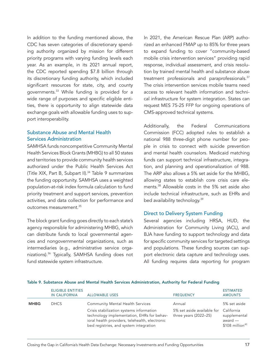In addition to the funding mentioned above, the CDC has seven categories of discretionary spending authority organized by mission for different priority programs with varying funding levels each year. As an example, in its 2021 annual report, the CDC reported spending \$7.8 billion through its discretionary funding authority, which included significant resources for state, city, and county governments.33 While funding is provided for a wide range of purposes and specific eligible entities, there is opportunity to align statewide data exchange goals with allowable funding uses to support interoperability.

# Substance Abuse and Mental Health Services Administration

SAMHSA funds noncompetitive Community Mental Health Services Block Grants (MHBG) to all 50 states and territories to provide community health services authorized under the Public Health Services Act (Title XIX, Part B, Subpart II).34 Table 9 summarizes the funding opportunity. SAMHSA uses a weighted population-at-risk index formula calculation to fund priority treatment and support services, prevention activities, and data collection for performance and outcomes measurement.35

The block grant funding goes directly to each state's agency responsible for administering MHBG, which can distribute funds to local governmental agencies and nongovernmental organizations, such as intermediaries (e.g., administrative service organizations).36 Typically, SAMHSA funding does not fund statewide system infrastructure.

In 2021, the American Rescue Plan (ARP) authorized an enhanced FMAP up to 85% for three years to expand funding to cover "community-based mobile crisis intervention services" providing rapid response, individual assessment, and crisis resolution by trained mental health and substance abuse treatment professionals and paraprofessionals.<sup>37</sup> The crisis intervention services mobile teams need access to relevant health information and technical infrastructure for system integration. States can request MES 75-25 FFP for ongoing operations of CMS-approved technical systems.

Additionally, the Federal Communications Commission (FCC) adopted rules to establish a national 988 three-digit phone number for people in crisis to connect with suicide prevention and mental health counselors. Medicaid matching funds can support technical infrastructure, integration, and planning and operationalization of 988. The ARP also allows a 5% set aside for the MHBG, allowing states to establish core crisis care elements.38 Allowable costs in the 5% set aside also include technical infrastructure, such as EHRs and bed availability technology.<sup>39</sup>

## Direct to Delivery System Funding

Several agencies including HRSA, HUD, the Administration for Community Living (ACL), and BJA have funding to support technology and data for specific community services for targeted settings and populations. These funding sources can support electronic data capture and technology uses. All funding requires data reporting for program

|             | <b>ELIGIBLE ENTITIES</b><br><b>IN CALIFORNIA</b> | <b>ALLOWABLE USES</b>                                                                                                                                                                                                         | <b>FREQUENCY</b>                                                | <b>ESTIMATED</b><br><b>AMOUNTS</b>                                                    |
|-------------|--------------------------------------------------|-------------------------------------------------------------------------------------------------------------------------------------------------------------------------------------------------------------------------------|-----------------------------------------------------------------|---------------------------------------------------------------------------------------|
| <b>MHBG</b> | <b>DHCS</b>                                      | <b>Community Mental Health Services</b><br>Crisis stabilization systems information<br>technology implementation, EHRs for behav-<br>ioral health providers, telehealth, electronic<br>bed registries, and system integration | Annual<br>5% set aside available for<br>three years $(2022-25)$ | 5% set aside<br>California<br>supplemental<br>award —<br>$$108$ million <sup>40</sup> |

#### Table 9. Substance Abuse and Mental Health Services Administration, Authority for Federal Funding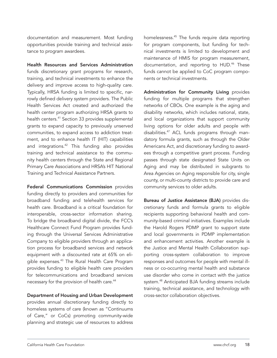documentation and measurement. Most funding opportunities provide training and technical assistance to program awardees.

Health Resources and Services Administration funds discretionary grant programs for research, training, and technical investments to enhance the delivery and improve access to high-quality care. Typically, HRSA funding is limited to specific, narrowly defined delivery system providers. The Public Health Services Act created and authorized the health center program authorizing HRSA grants to health centers.<sup>41</sup> Section 33 provides supplemental grants to expand capacity to previously unserved communities, to expand access to addiction treatment, and to enhance health IT (HIT) capabilities and integrations.<sup>42</sup> This funding also provides training and technical assistance to the community health centers through the State and Regional Primary Care Associations and HRSA's HIT National Training and Technical Assistance Partners.

Federal Communications Commission provides funding directly to providers and communities for broadband funding and telehealth services for health care. Broadband is a critical foundation for interoperable, cross-sector information sharing. To bridge the broadband digital divide, the FCC's Healthcare Connect Fund Program provides funding through the Universal Services Administrative Company to eligible providers through an application process for broadband services and network equipment with a discounted rate at 65% on eligible expenses.43 The Rural Health Care Program provides funding to eligible health care providers for telecommunications and broadband services necessary for the provision of health care.<sup>44</sup>

#### Department of Housing and Urban Development

provides annual discretionary funding directly to homeless systems of care (known as "Continuums of Care," or CoCs) promoting community-wide planning and strategic use of resources to address homelessness.<sup>45</sup> The funds require data reporting for program components, but funding for technical investments is limited to development and maintenance of HMIS for program measurement, documentation, and reporting to HUD.<sup>46</sup> These funds cannot be applied to CoC program components or technical investments.

Administration for Community Living provides funding for multiple programs that strengthen networks of CBOs. One example is the aging and disability networks, which includes national, state, and local organizations that support community living options for older adults and people with disabilities.<sup>47</sup> ACL funds programs through mandatory formula grants, such as through the Older Americans Act, and discretionary funding to awardees through a competitive grant process. Funding passes through state designated State Units on Aging and may be distributed in subgrants to Area Agencies on Aging responsible for city, single county, or multi-county districts to provide care and community services to older adults.

Bureau of Justice Assistance (BJA) provides discretionary funds and formula grants to eligible recipients supporting behavioral health and community-based criminal initiatives. Examples include the Harold Rogers PDMP grant to support state and local governments in PDMP implementation and enhancement activities. Another example is the Justice and Mental Health Collaboration supporting cross-system collaboration to improve responses and outcomes for people with mental illness or co-occurring mental health and substance use disorder who come in contact with the justice system.48 Anticipated BJA funding streams include training, technical assistance, and technology with cross-sector collaboration objectives.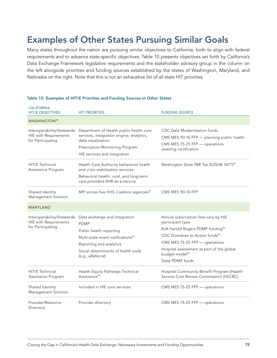# <span id="page-18-0"></span>Examples of Other States Pursuing Similar Goals

Many states throughout the nation are pursuing similar objectives to California, both to align with federal requirements and to advance state-specific objectives. Table 10 presents objectives set forth by California's Data Exchange Framework legislative requirements and the stakeholder advisory group in the column on the left alongside priorities and funding sources established by the states of Washington, Maryland, and Nebraska on the right. Note that this is not an exhaustive list of all state HIT priorities.

| CALIFORNIA<br><b>HIT/E OBJECTIVES</b>                                           | <b>HIT PRIORITIES</b>                                                                                                                                                                                           | <b>FUNDING SOURCE</b>                                                                                                                                                                                                                                                                   |
|---------------------------------------------------------------------------------|-----------------------------------------------------------------------------------------------------------------------------------------------------------------------------------------------------------------|-----------------------------------------------------------------------------------------------------------------------------------------------------------------------------------------------------------------------------------------------------------------------------------------|
| WASHINGTON <sup>49</sup>                                                        |                                                                                                                                                                                                                 |                                                                                                                                                                                                                                                                                         |
| Interoperability/Statewide<br><b>HIE</b> with Requirements<br>for Participating | Department of Health public health core<br>services, integration engine, analytics,<br>data visualization<br>Prescription Monitoring Program<br>HIE services and integration                                    | CDC Data Modernization funds<br>CMS MES 90-10 FFP - planning public health<br>CMS MES 75-25 FFP - operations<br>awaiting certification                                                                                                                                                  |
| HIT/E Technical<br>Assistance Program                                           | Health Care Authority behavioral health<br>and crisis stabilization services<br>Behavioral health, rural, and long-term<br>care providers EHR-as-a-service                                                      | Washington State 988 Tax (E2SHB 1477) <sup>50</sup>                                                                                                                                                                                                                                     |
| Shared Identity<br>Management Solution                                          | MPI across five HHS Coalition agencies <sup>51</sup>                                                                                                                                                            | <b>CMS MES 90-10 FFP</b>                                                                                                                                                                                                                                                                |
| <b>MARYLAND</b>                                                                 |                                                                                                                                                                                                                 |                                                                                                                                                                                                                                                                                         |
| Interoperability/Statewide<br><b>HIE with Requirements</b><br>for Participating | Data exchange and integration<br><b>PDMP</b><br>Public health reporting<br>Multi-state event notifications <sup>52</sup><br>Reporting and analytics<br>Social determinants of health tools<br>(e.g., eReferral) | Annual subscription fees vary by HIE<br>participant type<br>BJA Harold Rogers PDMP funding <sup>53</sup><br>CDC Overdose to Action funds <sup>54</sup><br>CMS MES 75-25 FFP - operations<br>Hospital assessment as part of the global<br>budget model <sup>55</sup><br>State PDMP funds |
| HIT/E Technical<br>Assistance Program                                           | Health Equity Pathways Technical<br>Assistance <sup>56</sup>                                                                                                                                                    | Hospital Community Benefit Program (Health<br>Service Cost Review Commission) (HSCRC)                                                                                                                                                                                                   |
| Shared Identity<br>Management Solution                                          | Included in HIE core services                                                                                                                                                                                   | CMS MES 75-25 FFP - operations                                                                                                                                                                                                                                                          |
| Provider/Resource<br>Directory                                                  | Provider directory                                                                                                                                                                                              | CMS MES 75-25 FFP - operations                                                                                                                                                                                                                                                          |

## Table 10. Examples of HIT/E Priorities and Funding Sources in Other States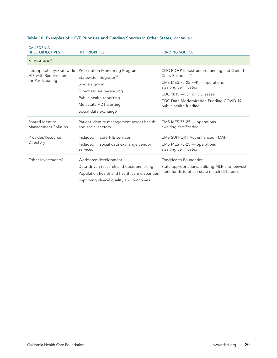| <b>CALIFORNIA</b><br><b>HIT/E OBJECTIVES</b>                                    | <b>HIT PRIORITIES</b>                                                                                                                                                                            | <b>FUNDING SOURCE</b>                                                                                                                                                                                                                     |
|---------------------------------------------------------------------------------|--------------------------------------------------------------------------------------------------------------------------------------------------------------------------------------------------|-------------------------------------------------------------------------------------------------------------------------------------------------------------------------------------------------------------------------------------------|
| NEBRASKA <sup>57</sup>                                                          |                                                                                                                                                                                                  |                                                                                                                                                                                                                                           |
| Interoperability/Statewide<br><b>HIE</b> with Requirements<br>for Participating | Prescription Monitoring Program<br>Statewide integrator <sup>58</sup><br>Single sign-on<br>Direct secure messaging<br>Public health reporting<br>Multistate ADT alerting<br>Social data exchange | CDC PDMP Infrastructure funding and Opioid<br>Crisis Response <sup>59</sup><br>CMS MES 75-25 FFP - operations<br>awaiting certification<br>CDC 1815 - Chronic Disease<br>CDC Data Modernization Funding COVID-19<br>public health funding |
| Shared Identity<br>Management Solution                                          | Patient identity management across health<br>and social sectors                                                                                                                                  | CMS MES 75-25 - operations<br>awaiting certification                                                                                                                                                                                      |
| Provider/Resource<br>Directory                                                  | Included in core HIE services<br>Included in social data exchange vendor<br>services                                                                                                             | CMS SUPPORT Act enhanced FMAP<br>CMS MES 75-25 - operations<br>awaiting certification                                                                                                                                                     |
| Other Investments?                                                              | Workforce development<br>Data-driven research and decisionmaking<br>Population health and health care disparities<br>Improving clinical quality and outcomes                                     | CyncHealth Foundation<br>State appropriations, utilizing MLR and reinvest-<br>ment funds to offset state match difference                                                                                                                 |

# Table 10. Examples of HIT/E Priorities and Funding Sources in Other States, *continued*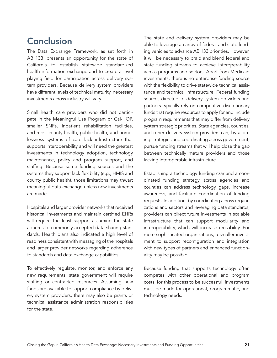# <span id="page-20-0"></span>**Conclusion**

The Data Exchange Framework, as set forth in AB 133, presents an opportunity for the state of California to establish statewide standardized health information exchange and to create a level playing field for participation across delivery system providers. Because delivery system providers have different levels of technical maturity, necessary investments across industry will vary.

Small health care providers who did not participate in the Meaningful Use Program or Cal-HOP, smaller SNFs, inpatient rehabilitation facilities, and most county health, public health, and homelessness systems of care lack infrastructure that supports interoperability and will need the greatest investments in technology adoption, technology maintenance, policy and program support, and staffing. Because some funding sources and the systems they support lack flexibility (e.g., HMIS and county public health), those limitations may thwart meaningful data exchange unless new investments are made.

Hospitals and larger provider networks that received historical investments and maintain certified EHRs will require the least support assuming the state adheres to commonly accepted data sharing standards. Health plans also indicated a high level of readiness consistent with messaging of the hospitals and larger provider networks regarding adherence to standards and data exchange capabilities.

To effectively regulate, monitor, and enforce any new requirements, state government will require staffing or contracted resources. Assuming new funds are available to support compliance by delivery system providers, there may also be grants or technical assistance administration responsibilities for the state.

The state and delivery system providers may be able to leverage an array of federal and state funding vehicles to advance AB 133 priorities. However, it will be necessary to braid and blend federal and state funding streams to achieve interoperability across programs and sectors. Apart from Medicaid investments, there is no enterprise funding source with the flexibility to drive statewide technical assistance and technical infrastructure. Federal funding sources directed to delivery system providers and partners typically rely on competitive discretionary funds that require resources to apply for and include program requirements that may differ from delivery system strategic priorities. State agencies, counties, and other delivery system providers can, by aligning strategies and coordinating across government, pursue funding streams that will help close the gap between technically mature providers and those lacking interoperable infrastructure.

Establishing a technology funding czar and a coordinated funding strategy across agencies and counties can address technology gaps, increase awareness, and facilitate coordination of funding requests. In addition, by coordinating across organizations and sectors and leveraging data standards, providers can direct future investments in scalable infrastructure that can support modularity and interoperability, which will increase reusability. For more sophisticated organizations, a smaller investment to support reconfiguration and integration with new types of partners and enhanced functionality may be possible.

Because funding that supports technology often competes with other operational and program costs, for this process to be successful, investments must be made for operational, programmatic, and technology needs.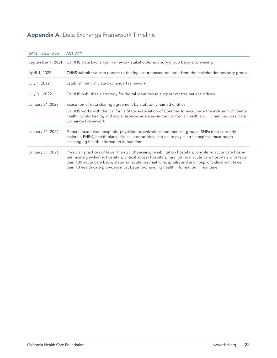# <span id="page-21-0"></span>Appendix A. Data Exchange Framework Timeline

| DATE (no later than) | <b>ACTIVITY</b>                                                                                                                                                                                                                                                                                                                                                                                                      |
|----------------------|----------------------------------------------------------------------------------------------------------------------------------------------------------------------------------------------------------------------------------------------------------------------------------------------------------------------------------------------------------------------------------------------------------------------|
| September 1, 2021    | CalHHS Data Exchange Framework stakeholder advisory group begins convening                                                                                                                                                                                                                                                                                                                                           |
| April 1, 2022        | CHHS submits written update to the legislature based on input from the stakeholder advisory group                                                                                                                                                                                                                                                                                                                    |
| July 1, 2022         | Establishment of Data Exchange Framework                                                                                                                                                                                                                                                                                                                                                                             |
| July 31, 2022        | CalHHS publishes a strategy for digital identities to support master patient indices                                                                                                                                                                                                                                                                                                                                 |
| January 31, 2023     | Execution of data sharing agreement by statutorily named entities                                                                                                                                                                                                                                                                                                                                                    |
|                      | CalHHS works with the California State Association of Counties to encourage the inclusion of county<br>health, public health, and social services agencies in the California Health and Human Services Data<br>Exchange Framework                                                                                                                                                                                    |
| January 31, 2024     | General acute care hospitals, physician organizations and medical groups, SNFs (that currently<br>maintain EHRs), health plans, clinical laboratories, and acute psychiatric hospitals must begin<br>exchanging health information in real time                                                                                                                                                                      |
| January 31, 2026     | Physician practices of fewer than 25 physicians, rehabilitation hospitals, long-term acute care hospi-<br>tals, acute psychiatric hospitals, critical access hospitals, rural general acute care hospitals with fewer<br>than 100 acute care beds, state-run acute psychiatric hospitals, and any nonprofit clinic with fewer<br>than 10 health care providers must begin exchanging health information in real time |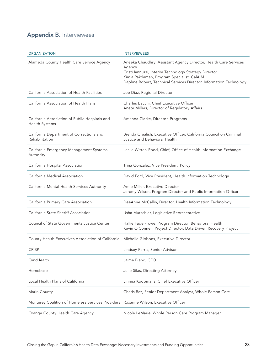# <span id="page-22-0"></span>Appendix B. Interviewees

| <b>ORGANIZATION</b>                                                                 | <b>INTERVIEWEES</b>                                                                                                                                                                                                                                     |
|-------------------------------------------------------------------------------------|---------------------------------------------------------------------------------------------------------------------------------------------------------------------------------------------------------------------------------------------------------|
| Alameda County Health Care Service Agency                                           | Aneeka Chaudhry, Assistant Agency Director, Health Care Services<br>Agency<br>Cristi Iannuzzi, Interim Technology Strategy Director<br>Kimia Pakdaman, Program Specialist, CalAIM<br>Daphne Robert, Technical Services Director, Information Technology |
| California Association of Health Facilities                                         | Joe Diaz, Regional Director                                                                                                                                                                                                                             |
| California Association of Health Plans                                              | Charles Bacchi, Chief Executive Officer<br>Anete Millers, Director of Regulatory Affairs                                                                                                                                                                |
| California Association of Public Hospitals and<br>Health Systems                    | Amanda Clarke, Director, Programs                                                                                                                                                                                                                       |
| California Department of Corrections and<br>Rehabilitation                          | Brenda Grealish, Executive Officer, California Council on Criminal<br>Justice and Behavioral Health                                                                                                                                                     |
| California Emergency Management Systems<br>Authority                                | Leslie Witten-Rood, Chief, Office of Health Information Exchange                                                                                                                                                                                        |
| California Hospital Association                                                     | Trina Gonzalez, Vice President, Policy                                                                                                                                                                                                                  |
| California Medical Association                                                      | David Ford, Vice President, Health Information Technology                                                                                                                                                                                               |
| California Mental Health Services Authority                                         | Amie Miller, Executive Director<br>Jeremy Wilson, Program Director and Public Information Officer                                                                                                                                                       |
| California Primary Care Association                                                 | DeeAnne McCallin, Director, Health Information Technology                                                                                                                                                                                               |
| California State Sheriff Association                                                | Usha Mutschler, Legislative Representative                                                                                                                                                                                                              |
| Council of State Governments Justice Center                                         | Hallie Fader-Towe, Program Director, Behavioral Health<br>Kevin O'Connell, Project Director, Data Driven Recovery Project                                                                                                                               |
| County Health Executives Association of California                                  | Michelle Gibbons, Executive Director                                                                                                                                                                                                                    |
| <b>CRISP</b>                                                                        | Lindsey Ferris, Senior Advisor                                                                                                                                                                                                                          |
| CyncHealth                                                                          | Jaime Bland, CEO                                                                                                                                                                                                                                        |
| Homebase                                                                            | Julie Silas, Directing Attorney                                                                                                                                                                                                                         |
| Local Health Plans of California                                                    | Linnea Koopmans, Chief Executive Officer                                                                                                                                                                                                                |
| Marin County                                                                        | Charis Baz, Senior Department Analyst, Whole Person Care                                                                                                                                                                                                |
| Monterey Coalition of Homeless Services Providers Roxanne Wilson, Executive Officer |                                                                                                                                                                                                                                                         |
| Orange County Health Care Agency                                                    | Nicole LeMarie, Whole Person Care Program Manager                                                                                                                                                                                                       |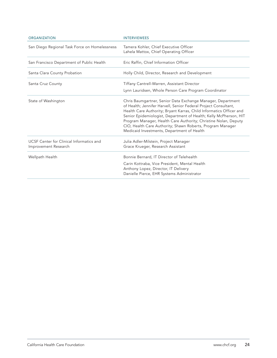| <b>ORGANIZATION</b>                                              | <b>INTERVIEWEES</b>                                                                                                                                                                                                                                                                                                                                                                                                                                       |
|------------------------------------------------------------------|-----------------------------------------------------------------------------------------------------------------------------------------------------------------------------------------------------------------------------------------------------------------------------------------------------------------------------------------------------------------------------------------------------------------------------------------------------------|
| San Diego Regional Task Force on Homelessness                    | Tamera Kohler, Chief Executive Officer<br>Lahela Mattox, Chief Operating Officer                                                                                                                                                                                                                                                                                                                                                                          |
| San Francisco Department of Public Health                        | Eric Raffin, Chief Information Officer                                                                                                                                                                                                                                                                                                                                                                                                                    |
| Santa Clara County Probation                                     | Holly Child, Director, Research and Development                                                                                                                                                                                                                                                                                                                                                                                                           |
| Santa Cruz County                                                | Tiffany Cantrell-Warren, Assistant Director<br>Lynn Lauridsen, Whole Person Care Program Coordinator                                                                                                                                                                                                                                                                                                                                                      |
| State of Washington                                              | Chris Baumgartner, Senior Data Exchange Manager, Department<br>of Health; Jennifer Harvell, Senior Federal Project Consultant,<br>Health Care Authority; Bryant Karras, Child Informatics Officer and<br>Senior Epidemiologist, Department of Health; Kelly McPherson, HIT<br>Program Manager, Health Care Authority; Christine Nolan, Deputy<br>CIO, Health Care Authority; Shawn Roberts, Program Manager<br>Medicaid Investments, Department of Health |
| UCSF Center for Clinical Informatics and<br>Improvement Research | Julia Adler-Milstein, Project Manager<br>Grace Krueger, Research Assistant                                                                                                                                                                                                                                                                                                                                                                                |
| Wellpath Health                                                  | Bonnie Bernard, IT Director of Telehealth<br>Carin Kottraba, Vice President, Mental Health<br>Anthony Lopez, Director, IT Delivery<br>Danielle Pierce, EHR Systems Administrator                                                                                                                                                                                                                                                                          |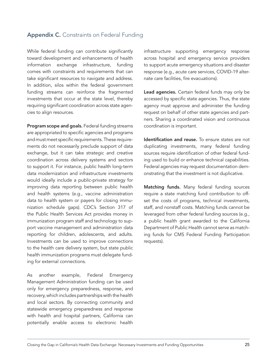# <span id="page-24-0"></span>Appendix C. Constraints on Federal Funding

While federal funding can contribute significantly toward development and enhancements of health information exchange infrastructure, funding comes with constraints and requirements that can take significant resources to navigate and address. In addition, silos within the federal government funding streams can reinforce the fragmented investments that occur at the state level, thereby requiring significant coordination across state agencies to align resources.

Program scope and goals. Federal funding streams are appropriated to specific agencies and programs and must meet specific requirements. These requirements do not necessarily preclude support of data exchange, but it can take strategic and creative coordination across delivery systems and sectors to support it. For instance, public health long-term data modernization and infrastructure investments would ideally include a public-private strategy for improving data reporting between public health and health systems (e.g., vaccine administration data to health system or payers for closing immunization schedule gaps). CDC's Section 317 of the Public Health Services Act provides money in immunization program staff and technology to support vaccine management and administration data reporting for children, adolescents, and adults. Investments can be used to improve connections to the health care delivery system, but state public health immunization programs must delegate funding for external connections.

As another example, Federal Emergency Management Administration funding can be used only for emergency preparedness, response, and recovery, which includes partnerships with the health and local sectors. By connecting community and statewide emergency preparedness and response with health and hospital partners, California can potentially enable access to electronic health

infrastructure supporting emergency response across hospital and emergency service providers to support acute emergency situations and disaster response (e.g., acute care services, COVID-19 alternate care facilities, fire evacuations).

Lead agencies. Certain federal funds may only be accessed by specific state agencies. Thus, the state agency must approve and administer the funding request on behalf of other state agencies and partners. Sharing a coordinated vision and continuous coordination is important.

Identification and reuse. To ensure states are not duplicating investments, many federal funding sources require identification of other federal funding used to build or enhance technical capabilities. Federal agencies may request documentation demonstrating that the investment is not duplicative.

Matching funds. Many federal funding sources require a state matching fund contribution to offset the costs of programs, technical investments, staff, and nonstaff costs. Matching funds cannot be leveraged from other federal funding sources (e.g., a public health grant awarded to the California Department of Public Health cannot serve as matching funds for CMS Federal Funding Participation requests).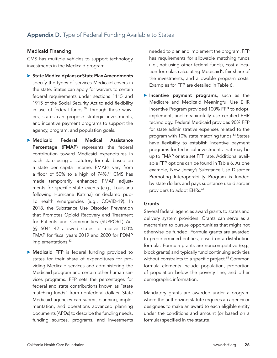# <span id="page-25-0"></span>Appendix D. Type of Federal Funding Available to States

## Medicaid Financing

CMS has multiple vehicles to support technology investments in the Medicaid program.

- State Medicaid plans or State Plan Amendments specify the types of services Medicaid covers in the state. States can apply for waivers to certain federal requirements under sections 1115 and 1915 of the Social Security Act to add flexibility in use of federal funds.<sup>60</sup> Through these waivers, states can propose strategic investments, and incentive payment programs to support the agency, program, and population goals.
- **Medicaid Federal Medical Assistance** Percentage (FMAP) represents the federal contribution toward Medicaid expenditures in each state using a statutory formula based on a state per capita income. FMAPs vary from a floor of 50% to a high of 74%.<sup>61</sup> CMS has made temporarily enhanced FMAP adjustments for specific state events (e.g., Louisiana following Hurricane Katrina) or declared public health emergencies (e.g., COVID-19). In 2018, the Substance Use Disorder Prevention that Promotes Opioid Recovery and Treatment for Patients and Communities (SUPPORT) Act §§ 5041–42 allowed states to receive 100% FMAP for fiscal years 2019 and 2020 for PDMP implementations.<sup>62</sup>
- **Medicaid FFP** is federal funding provided to states for their share of expenditures for providing Medicaid services and administering the Medicaid program and certain other human services programs. FFP sets the percentages for federal and state contributions known as "state matching funds" from nonfederal dollars. State Medicaid agencies can submit planning, implementation, and operations advanced planning documents (APDs) to describe the funding needs, funding sources, programs, and investments

needed to plan and implement the program. FFP has requirements for allowable matching funds (i.e., not using other federal funds), cost allocation formulas calculating Medicaid's fair share of the investments, and allowable program costs. Examples for FFP are detailed in Table 6.

 $\blacktriangleright$  Incentive payment programs, such as the Medicare and Medicaid Meaningful Use EHR Incentive Program provided 100% FFP to adopt, implement, and meaningfully use certified EHR technology. Federal Medicaid provides 90% FFP for state administrative expenses related to the program with 10% state matching funds.<sup>63</sup> States have flexibility to establish incentive payment programs for technical investments that may be up to FMAP or at a set FFP rate. Additional available FFP options can be found in Table 6. As one example, New Jersey's Substance Use Disorder Promoting Interoperability Program is funded by state dollars and pays substance use disorder providers to adopt EHRs.<sup>64</sup>

## **Grants**

Several federal agencies award grants to states and delivery system providers. Grants can serve as a mechanism to pursue opportunities that might not otherwise be funded. Formula grants are awarded to predetermined entities, based on a distribution formula. Formula grants are noncompetitive (e.g., block grants) and typically fund continuing activities without constraints to a specific project.<sup>65</sup> Common formula elements include population, proportion of population below the poverty line, and other demographic information.

Mandatory grants are awarded under a program where the authorizing statute requires an agency or designees to make an award to each eligible entity under the conditions and amount (or based on a formula) specified in the statute.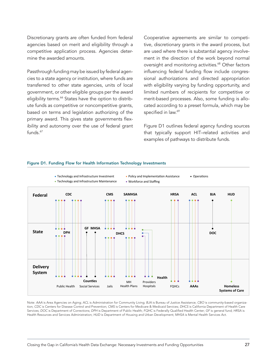Discretionary grants are often funded from federal agencies based on merit and eligibility through a competitive application process. Agencies determine the awarded amounts.

Passthrough funding may be issued by federal agencies to a state agency or institution, where funds are transferred to other state agencies, units of local government, or other eligible groups per the award eligibility terms.<sup>66</sup> States have the option to distribute funds as competitive or noncompetitive grants, based on terms and legislation authorizing of the primary award. This gives state governments flexibility and autonomy over the use of federal grant funds.<sup>67</sup>

Cooperative agreements are similar to competitive, discretionary grants in the award process, but are used where there is substantial agency involvement in the direction of the work beyond normal oversight and monitoring activities.<sup>68</sup> Other factors influencing federal funding flow include congressional authorizations and directed appropriation with eligibility varying by funding opportunity, and limited numbers of recipients for competitive or merit-based processes. Also, some funding is allocated according to a preset formula, which may be specified in law.<sup>69</sup>

Figure D1 outlines federal agency funding sources that typically support HIT–related activities and examples of pathways to distribute funds.



#### Figure D1. Funding Flow for Health Information Technology Investments

Note: *AAA* is Area Agencies on Aging; *ACL* is Administration for Community Living; *BJA* is Bureau of Justice Assistance; *CBO* is community-based organization; *CDC* is Centers for Disease Control and Prevention; *CMS* is Centers for Medicare & Medicaid Services; *DHCS* is California Department of Health Care Services; *DOC* is Department of Corrections; *DPH* is Department of Public Health; *FQHC* is Federally Qualified Health Center; *GF* is general fund; *HRSA* is Health Resources and Services Administration; *HUD* is Department of Housing and Urban Development; *MHSA* is Mental Health Services Act.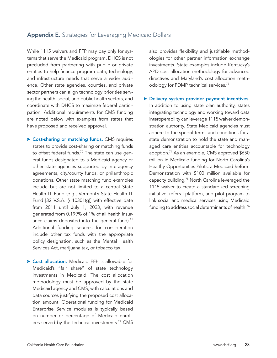# <span id="page-27-0"></span>Appendix E. Strategies for Leveraging Medicaid Dollars

While 1115 waivers and FFP may pay only for systems that serve the Medicaid program, DHCS is not precluded from partnering with public or private entities to help finance program data, technology, and infrastructure needs that serve a wider audience. Other state agencies, counties, and private sector partners can align technology priorities serving the health, social, and public health sectors, and coordinate with DHCS to maximize federal participation. Additional requirements for CMS funding are noted below with examples from states that have proposed and received approval.

- ▶ Cost-sharing or matching funds. CMS requires states to provide cost-sharing or matching funds to offset federal funds.<sup>70</sup> The state can use general funds designated to a Medicaid agency or other state agencies supported by interagency agreements, city/county funds, or philanthropic donations. Other state matching fund examples include but are not limited to a central State Health IT Fund (e.g., Vermont's State Health IT Fund [32 V.S.A. § 10301(g)] with effective date from 2011 until July 1, 2023, with revenue generated from 0.199% of 1% of all health insurance claims deposited into the general fund). $71$ Additional funding sources for consideration include other tax funds with the appropriate policy designation, such as the Mental Health Services Act, marijuana tax, or tobacco tax.
- ▶ Cost allocation. Medicaid FFP is allowable for Medicaid's "fair share" of state technology investments in Medicaid. The cost allocation methodology must be approved by the state Medicaid agency and CMS, with calculations and data sources justifying the proposed cost allocation amount. Operational funding for Medicaid Enterprise Service modules is typically based on number or percentage of Medicaid enrollees served by the technical investments.<sup>72</sup> CMS

also provides flexibility and justifiable methodologies for other partner information exchange investments. State examples include Kentucky's APD cost allocation methodology for advanced directives and Maryland's cost allocation methodology for PDMP technical services.<sup>73</sup>

Delivery system provider payment incentives. In addition to using state plan authority, states integrating technology and working toward data interoperability can leverage 1115 waiver demonstration authority. State Medicaid agencies must adhere to the special terms and conditions for a state demonstration to hold the state and managed care entities accountable for technology adoption.<sup>74</sup> As an example, CMS approved \$650 million in Medicaid funding for North Carolina's Healthy Opportunities Pilots, a Medicaid Reform Demonstration with \$100 million available for capacity building.<sup>75</sup> North Carolina leveraged the 1115 waiver to create a standardized screening initiative, referral platform, and pilot program to link social and medical services using Medicaid funding to address social determinants of health.<sup>76</sup>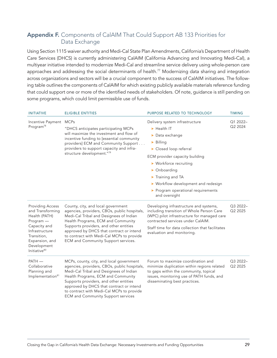# <span id="page-28-0"></span>Appendix F. Components of CalAIM That Could Support AB 133 Priorities for Data Exchange

Using Section 1115 waiver authority and Medi-Cal State Plan Amendments, California's Department of Health Care Services (DHCS) is currently administering CalAIM (California Advancing and Innovating Medi-Cal), a multiyear initiative intended to modernize Medi-Cal and streamline service delivery using whole-person care approaches and addressing the social determinants of health.<sup>77</sup> Modernizing data sharing and integration across organizations and sectors will be a crucial component to the success of CalAIM initiatives. The following table outlines the components of CalAIM for which existing publicly available materials reference funding that could support one or more of the identified needs of stakeholders. Of note, guidance is still pending on some programs, which could limit permissible use of funds.

| <b>INITIATIVE</b>                                                                                                                                                                       | <b>ELIGIBLE ENTITIES</b>                                                                                                                                                                                                                                                                                                                                  | PURPOSE RELATED TO TECHNOLOGY                                                                                                                                                                                                                                                                                                                                     | <b>TIMING</b>       |
|-----------------------------------------------------------------------------------------------------------------------------------------------------------------------------------------|-----------------------------------------------------------------------------------------------------------------------------------------------------------------------------------------------------------------------------------------------------------------------------------------------------------------------------------------------------------|-------------------------------------------------------------------------------------------------------------------------------------------------------------------------------------------------------------------------------------------------------------------------------------------------------------------------------------------------------------------|---------------------|
| Incentive Payment MCPs<br>Program <sup>78</sup>                                                                                                                                         | "DHCS anticipates participating MCPs<br>will maximize the investment and flow of<br>incentive funding to [essential community<br>providers] ECM and Community Support<br>providers to support capacity and infra-<br>structure development."79                                                                                                            | Delivery system infrastructure<br>$\blacktriangleright$ Health IT<br>$\triangleright$ Data exchange<br>$\triangleright$ Billing<br>Closed loop referral<br>ECM provider capacity building<br>$\triangleright$ Workforce recruiting<br>• Onboarding<br>Training and TA<br>▶ Workflow development and redesign<br>Program operational requirements<br>and oversight | Q1 2022-<br>Q2 2024 |
| <b>Providing Access</b><br>and Transforming<br>Health (PATH)<br>Program -<br>Capacity and<br>Infrastructure<br>Transition,<br>Expansion, and<br>Development<br>Initiative <sup>80</sup> | County, city, and local government<br>agencies, providers, CBOs, public hospitals,<br>Medi-Cal Tribal and Designees of Indian<br>Health Programs, ECM and Community<br>Supports providers, and other entities<br>approved by DHCS that contract or intend<br>to contract with Medi-Cal MCPs to provide<br>ECM and Community Support services.             | Developing infrastructure and systems,<br>including transition of Whole Person Care<br>(WPC) pilot infrastructure for managed care<br>contracted services under CalAIM.<br>Staff time for data collection that facilitates<br>evaluation and monitoring.                                                                                                          | Q3 2022-<br>Q2 2025 |
| PATH-<br>Collaborative<br>Planning and<br>Implementation <sup>81</sup>                                                                                                                  | MCPs, county, city, and local government<br>agencies, providers, CBOs, public hospitals,<br>Medi-Cal Tribal and Designees of Indian<br>Health Programs, ECM and Community<br>Supports providers, and other entities<br>approved by DHCS that contract or intend<br>to contract with Medi-Cal MCPs to provide<br><b>ECM</b> and Community Support services | Forum to maximize coordination and<br>minimize duplication within regions related<br>to gaps within the community, topical<br>issues, monitoring use of PATH funds, and<br>disseminating best practices.                                                                                                                                                          | Q3 2022-<br>Q2 2025 |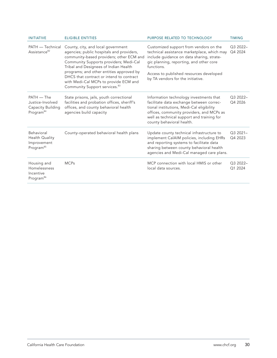| <b>INITIATIVE</b>                                                              | <b>ELIGIBLE ENTITIES</b>                                                                                                                                                                                                                                                                                                                                                                     | PURPOSE RELATED TO TECHNOLOGY                                                                                                                                                                                                                                               | <b>TIMING</b>        |
|--------------------------------------------------------------------------------|----------------------------------------------------------------------------------------------------------------------------------------------------------------------------------------------------------------------------------------------------------------------------------------------------------------------------------------------------------------------------------------------|-----------------------------------------------------------------------------------------------------------------------------------------------------------------------------------------------------------------------------------------------------------------------------|----------------------|
| PATH — Technical<br>Assistance <sup>82</sup>                                   | County, city, and local government<br>agencies; public hospitals and providers,<br>community-based providers; other ECM and<br>Community Supports providers; Medi-Cal<br>Tribal and Designees of Indian Health<br>programs; and other entities approved by<br>DHCS that contract or intend to contract<br>with Medi-Cal MCPs to provide ECM and<br>Community Support services. <sup>83</sup> | Customized support from vendors on the<br>technical assistance marketplace, which may<br>include guidance on data sharing, strate-<br>gic planning, reporting, and other core<br>functions.<br>Access to published resources developed<br>by TA vendors for the initiative. | Q3 2022-<br>Q4 2024  |
| $PATH - The$<br>Justice-Involved<br>Capacity Building<br>Program <sup>84</sup> | State prisons, jails, youth correctional<br>facilities and probation offices, sheriff's<br>offices, and county behavioral health<br>agencies build capacity                                                                                                                                                                                                                                  | Information technology investments that<br>facilitate data exchange between correc-<br>tional institutions, Medi-Cal eligibility<br>offices, community providers, and MCPs as<br>well as technical support and training for<br>county behavioral health.                    | Q3 2022-<br>Q4 2026  |
| Behavioral<br>Health Quality<br>Improvement<br>Program <sup>85</sup>           | County-operated behavioral health plans                                                                                                                                                                                                                                                                                                                                                      | Update county technical infrastructure to<br>implement CalAIM policies, including EHRs<br>and reporting systems to facilitate data<br>sharing between county behavioral health<br>agencies and Medi-Cal managed care plans.                                                 | $Q32021-$<br>Q4 2023 |
| Housing and<br>Homelessness<br>Incentive<br>Program <sup>86</sup>              | <b>MCPs</b>                                                                                                                                                                                                                                                                                                                                                                                  | MCP connection with local HMIS or other<br>local data sources.                                                                                                                                                                                                              | Q3 2022-<br>Q1 2024  |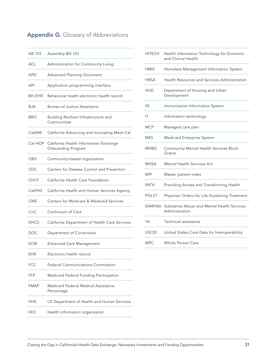# <span id="page-30-0"></span>Appendix G. Glossary of Abbreviations

| AB 133        | Assembly Bill 133                                            |
|---------------|--------------------------------------------------------------|
| <b>ACL</b>    | Administration for Community Living                          |
| <b>APD</b>    | <b>Advanced Planning Document</b>                            |
| API           | Application programming interface                            |
| <b>BH-EHR</b> | Behavioral health electronic health record                   |
| <b>BJA</b>    | Bureau of Justice Assistance                                 |
| <b>BRIC</b>   | Building Resilient Infrastructure and<br>Communities         |
| CalAIM        | California Advancing and Innovating Medi-Cal                 |
| Cal-HOP       | California Health Information Exchange<br>Onboarding Program |
| CBO           | Community-based organization                                 |
| CDC           | Centers for Disease Control and Prevention                   |
| CHCF          | California Health Care Foundation                            |
| CalHHS        | California Health and Human Services Agency                  |
| <b>CMS</b>    | Centers for Medicare & Medicaid Services                     |
| CoC           | Continuum of Care                                            |
| <b>DHCS</b>   | California Department of Health Care Services                |
| DOC           | Department of Corrections                                    |
| ECM           | <b>Enhanced Care Management</b>                              |
| EHR           | Electronic health record                                     |
| <b>FCC</b>    | <b>Federal Communications Commission</b>                     |
| FFP           | Medicaid Federal Funding Participation                       |
| <b>FMAP</b>   | Medicaid Federal Medical Assistance<br>Percentage            |
| HHS           | US Department of Health and Human Services                   |
| HIO           | Health information organization                              |
|               |                                                              |

| <b>HITECH</b> | Health Information Technology for Economic<br>and Clinical Health |
|---------------|-------------------------------------------------------------------|
| <b>HMIS</b>   | Homeless Management Information System                            |
| HRSA          | Health Resources and Services Administration                      |
| HUD           | Department of Housing and Urban<br>Development                    |
| <b>IIS</b>    | Immunization Information System                                   |
| ΙT            | Information technology                                            |
| <b>MCP</b>    | Managed care plan                                                 |
| MES           | Medicaid Enterprise System                                        |
| MHBG          | <b>Community Mental Health Services Block</b><br>Grants           |
| MHSA          | <b>Mental Health Services Act</b>                                 |
| MPI           | Master patient index                                              |
| PATH          | Providing Access and Transforming Health                          |
| <b>POLST</b>  | Physician Orders for Life-Sustaining Treatment                    |
| SAMHSA        | Substance Abuse and Mental Health Services<br>Administration      |
| TA            | Technical assistance                                              |
| <b>USCDI</b>  | United States Core Data for Interoperability                      |
| <b>WPC</b>    | Whole Person Care                                                 |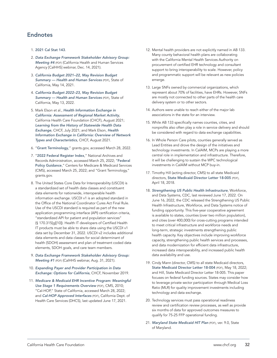# <span id="page-31-0"></span>**Endnotes**

- 1. [2021 Cal Stat 143](https://leginfo.legislature.ca.gov/faces/billNavClient.xhtml?bill_id=202120220AB133).
- 2. *[Data Exchange Framework Stakeholder Advisory Group:](https://www.chhs.ca.gov/wp-content/uploads/2021/12/CHHS_DxF-Stakeholder-Advisory-Group_Meeting-4_Dec-14-2021_Deck_Final_v1.1.pdf)  [Meeting #4](https://www.chhs.ca.gov/wp-content/uploads/2021/12/CHHS_DxF-Stakeholder-Advisory-Group_Meeting-4_Dec-14-2021_Deck_Final_v1.1.pdf)* (PDF) (California Health and Human Services Agency [CalHHS] webinar, Dec. 14, 2021).
- 3. *[California Budget 2021–22, May Revision Budget](https://www.ebudget.ca.gov/2021-22/pdf/Revised/BudgetSummary/HealthandHumanServices.pdf)  [Summary — Health and Human Services](https://www.ebudget.ca.gov/2021-22/pdf/Revised/BudgetSummary/HealthandHumanServices.pdf)* (PDF), State of California, May 14, 2021.
- 4. *[California Budget 2022–23, May Revision Budget](https://www.ebudget.ca.gov/2022-23/pdf/Revised/BudgetSummary/HealthandHumanServices.pdf)  [Summary — Health and Human Services](https://www.ebudget.ca.gov/2022-23/pdf/Revised/BudgetSummary/HealthandHumanServices.pdf)* (PDF), State of California, May 13, 2022.
- 5. Mark Elson et al., *[Health Information Exchange in](https://www.chcf.org/publication/health-information-exchange-california-overview-network-types-characteristics/)  [California: Assessment of Regional Market Activity](https://www.chcf.org/publication/health-information-exchange-california-overview-network-types-characteristics/)*, California Health Care Foundation (CHCF), August 2021; *[Learning from the History of Statewide Health Data](https://www.chcf.org/publication/learning-history-statewide-health-data-exchange-california/)  [Exchange](https://www.chcf.org/publication/learning-history-statewide-health-data-exchange-california/)*, CHCF, July 2021; and Mark Elson, *[Health](https://www.chcf.org/publication/health-information-exchange-california-overview-network-types-characteristics/)  [Information Exchange in California: Overview of Network](https://www.chcf.org/publication/health-information-exchange-california-overview-network-types-characteristics/)  [Types and Characteristics](https://www.chcf.org/publication/health-information-exchange-california-overview-network-types-characteristics/)*, CHCF, August 2021.
- 6. "[Grant Terminology](https://www.grants.gov/learn-grants/grant-terminology.html)," grants.gov, accessed March 28, 2022.
- 7. "[2022 Federal Register Index](https://www.federalregister.gov/index/2022)," National Archives and Records Administration, accessed March 25, 2022; "[Federal](https://www.medicaid.gov/federal-policy-guidance/index.html)  [Policy Guidance](https://www.medicaid.gov/federal-policy-guidance/index.html)," Centers for Medicare & Medicaid Services (CMS), accessed March 25, 2022; and "Grant Terminology," grants.gov.
- 8. The United States Core Data for Interoperability (USCDI) is a standardized set of health data classes and constituent data elements for nationwide, interoperable health information exchange. USCDI v1 is an adopted standard in the Office of the National Coordinator Cures Act Final Rule. Use of the USCDI standard is required as part of the new application programming interface (API) certification criteria, "standardized API for patient and population services" (§ 170.315[g][10]). Health IT developers of Certified Health IT products must be able to share data using the USCDI v1 data set by December 31, 2022. USCDI v2 includes additional data elements and data classes for social determinant of health (SDOH) assessment and plan of treatment coded data elements, SDOH goals, and care team members.
- 9. *[Data Exchange Framework Stakeholder Advisory Group:](https://www.chhs.ca.gov/wp-content/uploads/2021/09/Data-Exchange-Framework-Meeting-1-Presentation-Final.pdf)  [Meeting #1](https://www.chhs.ca.gov/wp-content/uploads/2021/09/Data-Exchange-Framework-Meeting-1-Presentation-Final.pdf)* (PDF) (CalHHS webinar, Aug. 31, 2021).
- 10. *[Expanding Payer and Provider Participation in Data](https://www.chcf.org/publication/expanding-data-exchange-california/)  [Exchange: Options for California](https://www.chcf.org/publication/expanding-data-exchange-california/)*, CHCF, November 2019.
- 11. *[Medicare & Medicaid EHR Incentive Program: Meaningful](https://www.cms.gov/Regulations-and-Guidance/Legislation/EHRIncentivePrograms/downloads/mu_stage1_reqoverview.pdf)  [Use Stage 1 Requirements Overview](https://www.cms.gov/Regulations-and-Guidance/Legislation/EHRIncentivePrograms/downloads/mu_stage1_reqoverview.pdf)* (PDF), CMS, 2010; "Cal-HOP," State of California, accessed March 28, 2022; and *[Cal-HOP Approved Interfaces](https://www.dhcs.ca.gov/provgovpart/Documents/OHIT/Cal-HOP-Approved-Interface-Update.pdf)* (PDF), California Dept. of Health Care Services (DHCS), last updated June 17, 2021.
- 12. Mental health providers are not explicitly named in AB 133. Many county behavioral health plans are collaborating with the California Mental Health Services Authority on procurement of certified EHR technology and consultant support to bring interoperability to scale. However, policy and programmatic support will be relevant as new policies emerge.
- 13. Large SNFs owned by commercial organizations, which represent about 70% of facilities, have EHRs. However, SNFs are mostly not connected to other parts of the health care delivery system or to other sectors.
- 14. Authors were unable to reach either of the major lab associations in the state for an interview.
- 15. While AB 133 specifically names counties, cities, and nonprofits also often play a role in service delivery and should be considered with regard to data exchange capabilities.
- 16. In Whole Person Care pilots, counties generally served as Lead Entities and drove the design of the initiatives and technology investments. In CalAIM, MCPs are playing a more central role in implementation and infrastructure. Therefore, it will be challenging to sustain the WPC technological investments in CalAIM without MCP buy-in.
- 17. Timothy Hill (acting director, CMS) to all state Medicaid directors, [State Medicaid Director Letter 18-005](https://www.medicaid.gov/federal-policy-guidance/downloads/smd18005.pdf) (PDF), April 18, 2018.
- 18. *[Strengthening US Public Health Infrastructure](https://www.cdc.gov/workforce/resources/infrastructuregrant/index.html 
)*, Workforce, and Data Systems, CDC, last reviewed June 17, 2022. On June 16, 2022, the CDC released the Strengthening US Public Health Infrastructure, Workforce, and Data Systems notice of funding opportunity. This five-year cooperative agreement is available to states, counties (over two million population), and cities (over 400,000) for cross-cutting programs intended to meet critical infrastructure and workforce needs and long-term, strategic investments strengthening public health capacity. Key objectives include improving workforce capacity, strengthening public health services and processes, and data modernization for efficient data infrastructure, increased data interoperability, and increased public health data availability and use.
- 19. Cindy Mann (director, CMS) to all state Medicaid directors, [State Medicaid Director Letter 18-004](https://www.medicaid.gov/federal-policy-guidance/downloads/smd11004.pdf) (PDF), May 18, 2022; and Hill, State Medicaid Director Letter 18-005. This paper focuses on federal funding sources. States may consider how to leverage private sector participation through Medical Loss Ratio (MLR) for quality improvement investments including technology and data exchange.
- 20. Technology services must pass operational readiness review and certification review processes, as well as provide six months of data for approved outcomes measures to qualify for 75-25 FFP operational funding.
- 21. *[Maryland State Medicaid HIT Plan](https://health.maryland.gov/mmcp/ehr/Documents/20201030_MD_SMHP v9 final.pdf)* (PDF), ver. 9.0, State of Maryland.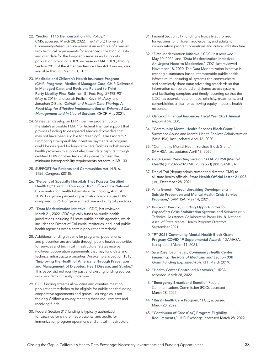#### 22. "Section 1115 Demonstration HIE Policy,"

CMS, accessed March 28, 2022. The 1915(c) Home and Community-Based Service waiver is an example of a waiver with technical requirements for enhanced utilization, quality, and cost data for the long-term services and supports population providing a 10% increase in FMAP (10%) through Section 9817 of the American Rescue Plan Act. Funding was available through March 31, 2022.

- 23. [Medicaid and Children's Health Insurance Program](https://www.govinfo.gov/content/pkg/FR-2016-05-06/pdf/2016-09581.pdf)  [\(CHIP\) Programs; Medicaid Managed Care, CHIP Delivered](https://www.govinfo.gov/content/pkg/FR-2016-05-06/pdf/2016-09581.pdf)  [in Managed Care, and Revisions Related to Third](https://www.govinfo.gov/content/pkg/FR-2016-05-06/pdf/2016-09581.pdf)  [Party Liability Final Rule](https://www.govinfo.gov/content/pkg/FR-2016-05-06/pdf/2016-09581.pdf) (PDF), 81 Fed. Reg. 27498-901 (May 6, 2016); and Jonah Frolich, Kevin McAvey, and Jonathan DiBello, *[CalAIM and Health Data Sharing: A](https://www.chcf.org/publication/calaim-health-data-sharing/)  [Road Map for Effective Implementation of Enhanced Care](https://www.chcf.org/publication/calaim-health-data-sharing/)  [Management and In Lieu of Services](https://www.chcf.org/publication/calaim-health-data-sharing/)*, CHCF, May 2021.
- 24. States can develop an EHR incentive program up to the state's allowable FMAP for federal financial support that provides funding to designated Medicaid providers that may not have been eligible for Meaningful Use Program / Promoting Interoperability incentive payments. A program could be designed for long-term care facilities or behavioral health providers to support electronic data capture through certified EHRs or other technical systems to meet the minimum interoperability requirements set forth in AB 133.
- 25. [SUPPORT for Patients and Communities Act](https://www.congress.gov/bill/115th-congress/house-bill/6), H.R. 6, 115th Congress (2018).
- 26. "[Percent of Specialty Hospitals That Possess Certified](https://dashboard.healthit.gov/quickstats/pages/specialty-hospital-ehr-adoption.php)  [Health IT](https://dashboard.healthit.gov/quickstats/pages/specialty-hospital-ehr-adoption.php)," Health IT Quick-Stat #59, Office of the National Coordinator for Health Information Technology, August 2019. Forty-nine percent of psychiatric hospitals use EHRs compared to 96% of general medicine and surgical practices.
- 27. "[Data Modernization Initiative](https://www.cdc.gov/surveillance/data-modernization/index.html)," CDC, last reviewed March 21, 2022. CDC typically funds 64 public health jurisdictions including 51 state public health agencies, which includes the District of Columbia, territories, and local public health agencies over a certain population threshold.
- 28. Additional funding streams for programs, populations, and prevention are available through public health authorities for services and technical infrastructure. States receive multiyear cooperation agreements that may fund data and technical infrastructure priorities. An example is Section 1815, "[Improving the Health of Americans Through Prevention](https://www.cdc.gov/diabetes/programs/stateandlocal/funded-programs/dp18-1815.html)  [and Management of Diabetes, Heart Disease, and Stroke](https://www.cdc.gov/diabetes/programs/stateandlocal/funded-programs/dp18-1815.html)." This paper did not identify past and existing funding sources with programs currently underway.
- 29. CDC funding streams allow cities and counties meeting population thresholds to be eligible for public health funding cooperative agreements and grants. Los Angeles is not the only California county meeting these requirements and receiving funds.
- 30. Federal Section 317 funding is typically authorized for vaccines for children, adolescents, and adults for immunization program operations and critical infrastructure.
- 31. Federal Section 317 funding is typically authorized for vaccines for children, adolescents, and adults for immunization program operations and critical infrastructure.
- 32. "Data Modernization Initiative," CDC, last reviewed May 10, 2022; and "[Data Modernization Initiative:](https://www.cdc.gov/surveillance/surveillance-data-strategies/dmi-investments.html)  [An Urgent Need to Modernize](https://www.cdc.gov/surveillance/surveillance-data-strategies/dmi-investments.html)," CDC, last reviewed November 18, 2020. The Data Modernization Initiative is creating a standards-based interoperable public health infrastructure, ensuring all systems can communicate and seamlessly share data; advancing standards so that information can be stored and shared across systems; and facilitating complete and timely reporting so that the CDC has essential data on race, ethnicity, treatments, and comorbidities critical for achieving equity in public health response.
- 33. *[Office of Financial Resources Fiscal Year 2021 Annual](https://www.cdc.gov/funding/documents/fy2021/fy-2021-ofr-annual-report-508.pdf)  [Report](https://www.cdc.gov/funding/documents/fy2021/fy-2021-ofr-annual-report-508.pdf)* (PDF), CDC.
- 34. "[Community Mental Health Services Block Grant](https://www.samhsa.gov/grants/block-grants/mhbg)," Substance Abuse and Mental Health Services Administration (SAMHSA), last updated April 16, 2020.
- 35. "Community Mental Health Services Block Grant," SAMHSA, last updated April 16, 2020.
- 36. *[Block Grant Reporting Section CFDA 93.958 \(Mental](https://www.samhsa.gov/sites/default/files/grants/fy22-23-mhbg-report.pdf)  [Health\)](https://www.samhsa.gov/sites/default/files/grants/fy22-23-mhbg-report.pdf)* (FY 2022-2023 MHBG Report) (PDF), SAMHSA.
- 37. Daniel Tsai (deputy administrator and director, CMS) to all state health officials, [State Health Official Letter 21-008](https://www.medicaid.gov/federal-policy-guidance/downloads/sho21008.pdf) (PDF), December 28, 2021.
- 38. Anita Everett, "[Groundbreaking Developments in](https://www.samhsa.gov/blog/groundbreaking-developments-suicide-prevention-mental-health-crisis-service-provision)  [Suicide Prevention and Mental Health Crisis Service](https://www.samhsa.gov/blog/groundbreaking-developments-suicide-prevention-mental-health-crisis-service-provision)  [Provision](https://www.samhsa.gov/blog/groundbreaking-developments-suicide-prevention-mental-health-crisis-service-provision)," SAMHSA, May 14, 2021.
- 39. Kristen K. Beronio, *[Funding Opportunities for](https://www.nasmhpd.org/sites/default/files/8_FundingCrisisServices_508.pdf)  [Expanding Crisis Stabilization Systems and Services](https://www.nasmhpd.org/sites/default/files/8_FundingCrisisServices_508.pdf)* (PDF), Technical Assistance Collaborative Paper No. 8, National Assn. of State Mental Health Program Directors, September 2021.
- 40. "[FY 2021 Community Mental Health Block Grant](https://www.samhsa.gov/grants/block-grants/mhbg-covid-fy21)  [Program COVID-19 Supplemental Awards](https://www.samhsa.gov/grants/block-grants/mhbg-covid-fy21)," SAMHSA, last updated March 11, 2021.
- 41. Sara Rosenbaum et al., *[Community Health Center](https://files.kff.org/attachment/Issue-Brief-Community-Health-Center-Financing-The-Role-of-Medicaid-and-Section-330-Grant-Funding-Explained)  [Financing: The Role of Medicaid and Section 330](https://files.kff.org/attachment/Issue-Brief-Community-Health-Center-Financing-The-Role-of-Medicaid-and-Section-330-Grant-Funding-Explained)  [Grant Funding Explained](https://files.kff.org/attachment/Issue-Brief-Community-Health-Center-Financing-The-Role-of-Medicaid-and-Section-330-Grant-Funding-Explained)* (PDF), KFF, March 2019.
- 42. "[Health Center Controlled Networks](https://bphc.hrsa.gov/qualityimprovement/strategicpartnerships/hccn.html)," HRSA, accessed March 28, 2022
- 43. "[Emergency Broadband Benefit](https://www.fcc.gov/broadbandbenefit)," Federal Communications Commission (FCC), accessed March 28, 2022
- 44. "[Rural Health Care Program](https://www.fcc.gov/general/rural-health-care-program)," FCC, accessed March 28, 2022
- 45. "[Continuum of Care \(CoC\) Program Eligibility](https://www.hudexchange.info/programs/coc/coc-program-eligibility-requirements/)  [Requirements](https://www.hudexchange.info/programs/coc/coc-program-eligibility-requirements/)," HUD Exchange, accessed March 28, 2022.